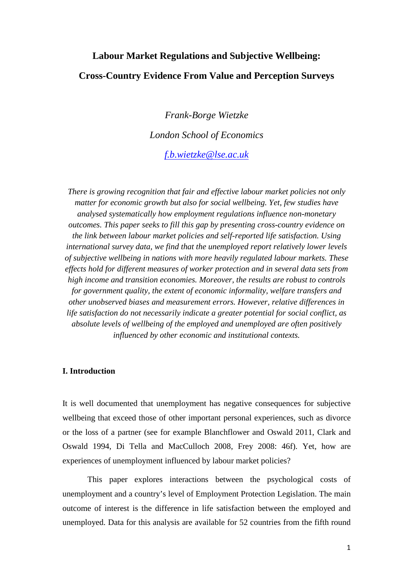# **Labour Market Regulations and Subjective Wellbeing: Cross-Country Evidence From Value and Perception Surveys**

*Frank-Borge Wietzke London School of Economics f.b.wietzke@lse.ac.uk* 

*There is growing recognition that fair and effective labour market policies not only matter for economic growth but also for social wellbeing. Yet, few studies have analysed systematically how employment regulations influence non-monetary outcomes. This paper seeks to fill this gap by presenting cross-country evidence on the link between labour market policies and self-reported life satisfaction. Using international survey data, we find that the unemployed report relatively lower levels of subjective wellbeing in nations with more heavily regulated labour markets. These effects hold for different measures of worker protection and in several data sets from high income and transition economies. Moreover, the results are robust to controls for government quality, the extent of economic informality, welfare transfers and other unobserved biases and measurement errors. However, relative differences in life satisfaction do not necessarily indicate a greater potential for social conflict, as absolute levels of wellbeing of the employed and unemployed are often positively influenced by other economic and institutional contexts.* 

# **I. Introduction**

It is well documented that unemployment has negative consequences for subjective wellbeing that exceed those of other important personal experiences, such as divorce or the loss of a partner (see for example Blanchflower and Oswald 2011, Clark and Oswald 1994, Di Tella and MacCulloch 2008, Frey 2008: 46f). Yet, how are experiences of unemployment influenced by labour market policies?

This paper explores interactions between the psychological costs of unemployment and a country's level of Employment Protection Legislation. The main outcome of interest is the difference in life satisfaction between the employed and unemployed. Data for this analysis are available for 52 countries from the fifth round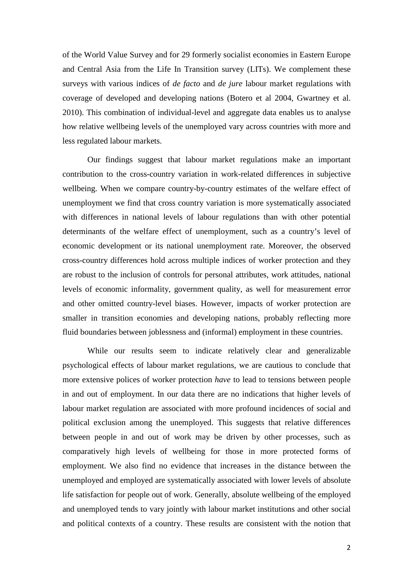of the World Value Survey and for 29 formerly socialist economies in Eastern Europe and Central Asia from the Life In Transition survey (LITs). We complement these surveys with various indices of *de facto* and *de jure* labour market regulations with coverage of developed and developing nations (Botero et al 2004, Gwartney et al. 2010). This combination of individual-level and aggregate data enables us to analyse how relative wellbeing levels of the unemployed vary across countries with more and less regulated labour markets.

Our findings suggest that labour market regulations make an important contribution to the cross-country variation in work-related differences in subjective wellbeing. When we compare country-by-country estimates of the welfare effect of unemployment we find that cross country variation is more systematically associated with differences in national levels of labour regulations than with other potential determinants of the welfare effect of unemployment, such as a country's level of economic development or its national unemployment rate. Moreover, the observed cross-country differences hold across multiple indices of worker protection and they are robust to the inclusion of controls for personal attributes, work attitudes, national levels of economic informality, government quality, as well for measurement error and other omitted country-level biases. However, impacts of worker protection are smaller in transition economies and developing nations, probably reflecting more fluid boundaries between joblessness and (informal) employment in these countries.

While our results seem to indicate relatively clear and generalizable psychological effects of labour market regulations, we are cautious to conclude that more extensive polices of worker protection *have* to lead to tensions between people in and out of employment. In our data there are no indications that higher levels of labour market regulation are associated with more profound incidences of social and political exclusion among the unemployed. This suggests that relative differences between people in and out of work may be driven by other processes, such as comparatively high levels of wellbeing for those in more protected forms of employment. We also find no evidence that increases in the distance between the unemployed and employed are systematically associated with lower levels of absolute life satisfaction for people out of work. Generally, absolute wellbeing of the employed and unemployed tends to vary jointly with labour market institutions and other social and political contexts of a country. These results are consistent with the notion that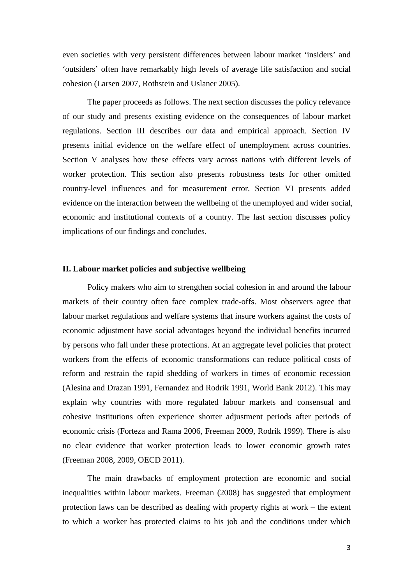even societies with very persistent differences between labour market 'insiders' and 'outsiders' often have remarkably high levels of average life satisfaction and social cohesion (Larsen 2007, Rothstein and Uslaner 2005).

The paper proceeds as follows. The next section discusses the policy relevance of our study and presents existing evidence on the consequences of labour market regulations. Section III describes our data and empirical approach. Section IV presents initial evidence on the welfare effect of unemployment across countries. Section V analyses how these effects vary across nations with different levels of worker protection. This section also presents robustness tests for other omitted country-level influences and for measurement error. Section VI presents added evidence on the interaction between the wellbeing of the unemployed and wider social, economic and institutional contexts of a country. The last section discusses policy implications of our findings and concludes.

#### **II. Labour market policies and subjective wellbeing**

Policy makers who aim to strengthen social cohesion in and around the labour markets of their country often face complex trade-offs. Most observers agree that labour market regulations and welfare systems that insure workers against the costs of economic adjustment have social advantages beyond the individual benefits incurred by persons who fall under these protections. At an aggregate level policies that protect workers from the effects of economic transformations can reduce political costs of reform and restrain the rapid shedding of workers in times of economic recession (Alesina and Drazan 1991, Fernandez and Rodrik 1991, World Bank 2012). This may explain why countries with more regulated labour markets and consensual and cohesive institutions often experience shorter adjustment periods after periods of economic crisis (Forteza and Rama 2006, Freeman 2009, Rodrik 1999). There is also no clear evidence that worker protection leads to lower economic growth rates (Freeman 2008, 2009, OECD 2011).

The main drawbacks of employment protection are economic and social inequalities within labour markets. Freeman (2008) has suggested that employment protection laws can be described as dealing with property rights at work – the extent to which a worker has protected claims to his job and the conditions under which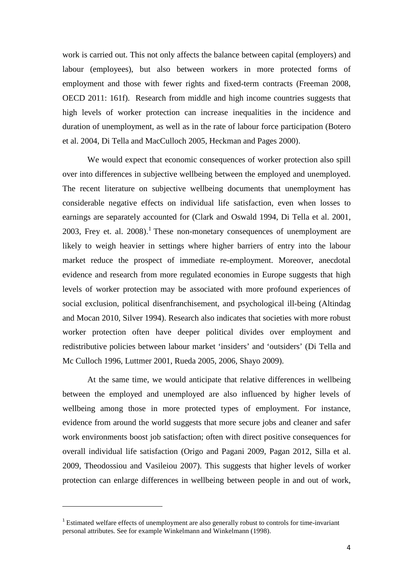work is carried out. This not only affects the balance between capital (employers) and labour (employees), but also between workers in more protected forms of employment and those with fewer rights and fixed-term contracts (Freeman 2008, OECD 2011: 161f). Research from middle and high income countries suggests that high levels of worker protection can increase inequalities in the incidence and duration of unemployment, as well as in the rate of labour force participation (Botero et al. 2004, Di Tella and MacCulloch 2005, Heckman and Pages 2000).

We would expect that economic consequences of worker protection also spill over into differences in subjective wellbeing between the employed and unemployed. The recent literature on subjective wellbeing documents that unemployment has considerable negative effects on individual life satisfaction, even when losses to earnings are separately accounted for (Clark and Oswald 1994, Di Tella et al. 2001, 2003, Frey et. al.  $2008$ ).<sup>1</sup> These non-monetary consequences of unemployment are likely to weigh heavier in settings where higher barriers of entry into the labour market reduce the prospect of immediate re-employment. Moreover, anecdotal evidence and research from more regulated economies in Europe suggests that high levels of worker protection may be associated with more profound experiences of social exclusion, political disenfranchisement, and psychological ill-being (Altindag and Mocan 2010, Silver 1994). Research also indicates that societies with more robust worker protection often have deeper political divides over employment and redistributive policies between labour market 'insiders' and 'outsiders' (Di Tella and Mc Culloch 1996, Luttmer 2001, Rueda 2005, 2006, Shayo 2009).

At the same time, we would anticipate that relative differences in wellbeing between the employed and unemployed are also influenced by higher levels of wellbeing among those in more protected types of employment. For instance, evidence from around the world suggests that more secure jobs and cleaner and safer work environments boost job satisfaction; often with direct positive consequences for overall individual life satisfaction (Origo and Pagani 2009, Pagan 2012, Silla et al. 2009, Theodossiou and Vasileiou 2007). This suggests that higher levels of worker protection can enlarge differences in wellbeing between people in and out of work,

l

 $1<sup>1</sup>$  Estimated welfare effects of unemployment are also generally robust to controls for time-invariant personal attributes. See for example Winkelmann and Winkelmann (1998).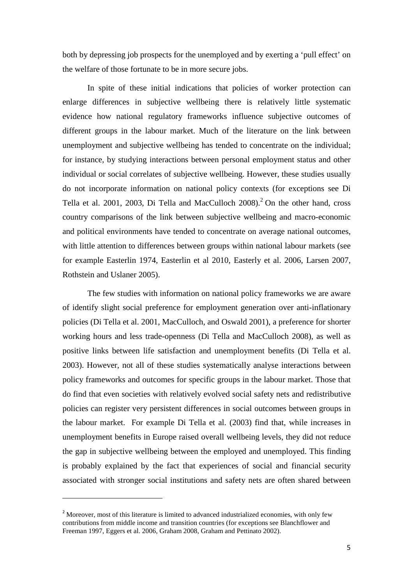both by depressing job prospects for the unemployed and by exerting a 'pull effect' on the welfare of those fortunate to be in more secure jobs.

In spite of these initial indications that policies of worker protection can enlarge differences in subjective wellbeing there is relatively little systematic evidence how national regulatory frameworks influence subjective outcomes of different groups in the labour market. Much of the literature on the link between unemployment and subjective wellbeing has tended to concentrate on the individual; for instance, by studying interactions between personal employment status and other individual or social correlates of subjective wellbeing. However, these studies usually do not incorporate information on national policy contexts (for exceptions see Di Tella et al. 2001, 2003, Di Tella and MacCulloch  $2008$ .<sup>2</sup> On the other hand, cross country comparisons of the link between subjective wellbeing and macro-economic and political environments have tended to concentrate on average national outcomes, with little attention to differences between groups within national labour markets (see for example Easterlin 1974, Easterlin et al 2010, Easterly et al. 2006, Larsen 2007, Rothstein and Uslaner 2005).

The few studies with information on national policy frameworks we are aware of identify slight social preference for employment generation over anti-inflationary policies (Di Tella et al. 2001, MacCulloch, and Oswald 2001), a preference for shorter working hours and less trade-openness (Di Tella and MacCulloch 2008), as well as positive links between life satisfaction and unemployment benefits (Di Tella et al. 2003). However, not all of these studies systematically analyse interactions between policy frameworks and outcomes for specific groups in the labour market. Those that do find that even societies with relatively evolved social safety nets and redistributive policies can register very persistent differences in social outcomes between groups in the labour market. For example Di Tella et al. (2003) find that, while increases in unemployment benefits in Europe raised overall wellbeing levels, they did not reduce the gap in subjective wellbeing between the employed and unemployed. This finding is probably explained by the fact that experiences of social and financial security associated with stronger social institutions and safety nets are often shared between

 $\overline{a}$ 

<sup>&</sup>lt;sup>2</sup> Moreover, most of this literature is limited to advanced industrialized economies, with only few contributions from middle income and transition countries (for exceptions see Blanchflower and Freeman 1997, Eggers et al. 2006, Graham 2008, Graham and Pettinato 2002).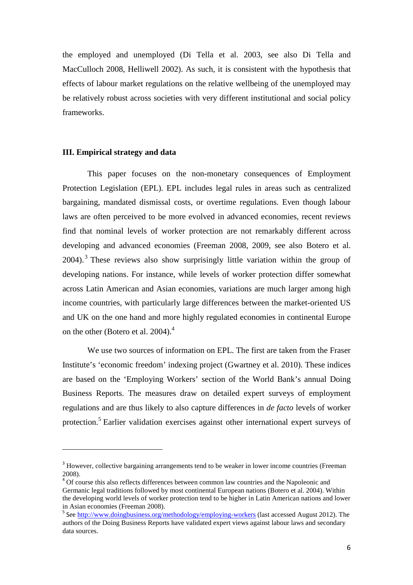the employed and unemployed (Di Tella et al. 2003, see also Di Tella and MacCulloch 2008, Helliwell 2002). As such, it is consistent with the hypothesis that effects of labour market regulations on the relative wellbeing of the unemployed may be relatively robust across societies with very different institutional and social policy frameworks.

# **III. Empirical strategy and data**

l

This paper focuses on the non-monetary consequences of Employment Protection Legislation (EPL). EPL includes legal rules in areas such as centralized bargaining, mandated dismissal costs, or overtime regulations. Even though labour laws are often perceived to be more evolved in advanced economies, recent reviews find that nominal levels of worker protection are not remarkably different across developing and advanced economies (Freeman 2008, 2009, see also Botero et al. 2004).<sup>3</sup> These reviews also show surprisingly little variation within the group of developing nations. For instance, while levels of worker protection differ somewhat across Latin American and Asian economies, variations are much larger among high income countries, with particularly large differences between the market-oriented US and UK on the one hand and more highly regulated economies in continental Europe on the other (Botero et al. 2004).<sup>4</sup>

We use two sources of information on EPL. The first are taken from the Fraser Institute's 'economic freedom' indexing project (Gwartney et al. 2010). These indices are based on the 'Employing Workers' section of the World Bank's annual Doing Business Reports. The measures draw on detailed expert surveys of employment regulations and are thus likely to also capture differences in *de facto* levels of worker protection.<sup>5</sup> Earlier validation exercises against other international expert surveys of

<sup>&</sup>lt;sup>3</sup> However, collective bargaining arrangements tend to be weaker in lower income countries (Freeman 2008).

<sup>&</sup>lt;sup>4</sup> Of course this also reflects differences between common law countries and the Napoleonic and Germanic legal traditions followed by most continental European nations (Botero et al. 2004). Within the developing world levels of worker protection tend to be higher in Latin American nations and lower in Asian economies (Freeman 2008).

<sup>&</sup>lt;sup>5</sup> See http://www.doingbusiness.org/methodology/employing-workers (last accessed August 2012). The authors of the Doing Business Reports have validated expert views against labour laws and secondary data sources.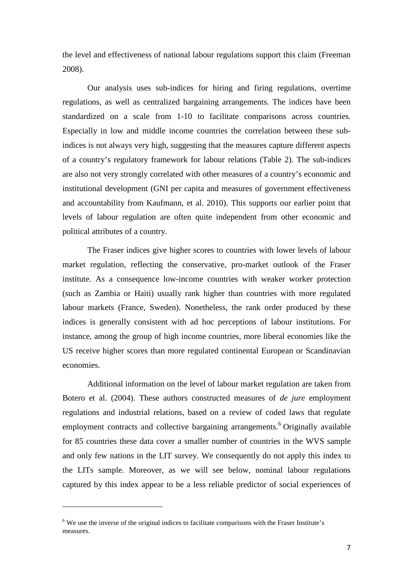the level and effectiveness of national labour regulations support this claim (Freeman 2008).

Our analysis uses sub-indices for hiring and firing regulations, overtime regulations, as well as centralized bargaining arrangements. The indices have been standardized on a scale from 1-10 to facilitate comparisons across countries. Especially in low and middle income countries the correlation between these subindices is not always very high, suggesting that the measures capture different aspects of a country's regulatory framework for labour relations (Table 2). The sub-indices are also not very strongly correlated with other measures of a country's economic and institutional development (GNI per capita and measures of government effectiveness and accountability from Kaufmann, et al. 2010). This supports our earlier point that levels of labour regulation are often quite independent from other economic and political attributes of a country.

The Fraser indices give higher scores to countries with lower levels of labour market regulation, reflecting the conservative, pro-market outlook of the Fraser institute. As a consequence low-income countries with weaker worker protection (such as Zambia or Haiti) usually rank higher than countries with more regulated labour markets (France, Sweden). Nonetheless, the rank order produced by these indices is generally consistent with ad hoc perceptions of labour institutions. For instance, among the group of high income countries, more liberal economies like the US receive higher scores than more regulated continental European or Scandinavian economies.

Additional information on the level of labour market regulation are taken from Botero et al. (2004). These authors constructed measures of *de jure* employment regulations and industrial relations, based on a review of coded laws that regulate employment contracts and collective bargaining arrangements.<sup>6</sup> Originally available for 85 countries these data cover a smaller number of countries in the WVS sample and only few nations in the LIT survey. We consequently do not apply this index to the LITs sample. Moreover, as we will see below, nominal labour regulations captured by this index appear to be a less reliable predictor of social experiences of

l

<sup>&</sup>lt;sup>6</sup> We use the inverse of the original indices to facilitate comparisons with the Fraser Institute's measures.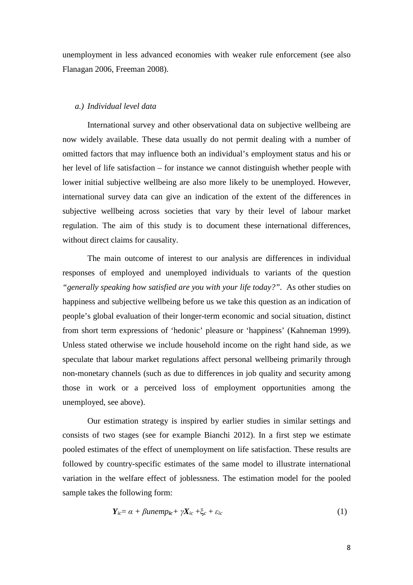unemployment in less advanced economies with weaker rule enforcement (see also Flanagan 2006, Freeman 2008).

# *a.) Individual level data*

International survey and other observational data on subjective wellbeing are now widely available. These data usually do not permit dealing with a number of omitted factors that may influence both an individual's employment status and his or her level of life satisfaction – for instance we cannot distinguish whether people with lower initial subjective wellbeing are also more likely to be unemployed. However, international survey data can give an indication of the extent of the differences in subjective wellbeing across societies that vary by their level of labour market regulation. The aim of this study is to document these international differences, without direct claims for causality.

The main outcome of interest to our analysis are differences in individual responses of employed and unemployed individuals to variants of the question *"generally speaking how satisfied are you with your life today?".* As other studies on happiness and subjective wellbeing before us we take this question as an indication of people's global evaluation of their longer-term economic and social situation, distinct from short term expressions of 'hedonic' pleasure or 'happiness' (Kahneman 1999). Unless stated otherwise we include household income on the right hand side, as we speculate that labour market regulations affect personal wellbeing primarily through non-monetary channels (such as due to differences in job quality and security among those in work or a perceived loss of employment opportunities among the unemployed, see above).

Our estimation strategy is inspired by earlier studies in similar settings and consists of two stages (see for example Bianchi 2012). In a first step we estimate pooled estimates of the effect of unemployment on life satisfaction. These results are followed by country-specific estimates of the same model to illustrate international variation in the welfare effect of joblessness. The estimation model for the pooled sample takes the following form:

$$
Y_{ic} = \alpha + \beta unemp_{ic} + \gamma X_{ic} + \xi_c + \varepsilon_{ic}
$$
 (1)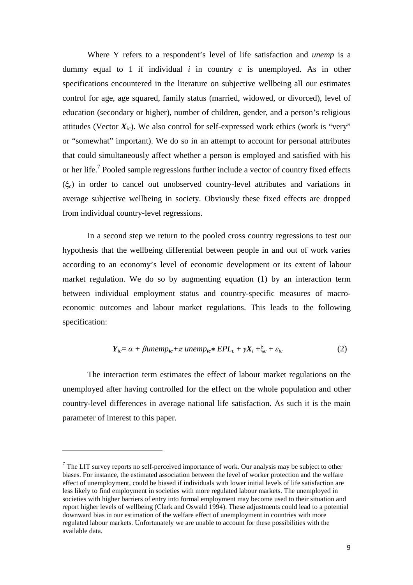Where Y refers to a respondent's level of life satisfaction and *unemp* is a dummy equal to 1 if individual *i* in country *c* is unemployed. As in other specifications encountered in the literature on subjective wellbeing all our estimates control for age, age squared, family status (married, widowed, or divorced), level of education (secondary or higher), number of children, gender, and a person's religious attitudes (Vector  $X_{i,c}$ ). We also control for self-expressed work ethics (work is "very" or "somewhat" important). We do so in an attempt to account for personal attributes that could simultaneously affect whether a person is employed and satisfied with his or her life.<sup>7</sup> Pooled sample regressions further include a vector of country fixed effects (ξ*c*) in order to cancel out unobserved country-level attributes and variations in average subjective wellbeing in society. Obviously these fixed effects are dropped from individual country-level regressions.

In a second step we return to the pooled cross country regressions to test our hypothesis that the wellbeing differential between people in and out of work varies according to an economy's level of economic development or its extent of labour market regulation. We do so by augmenting equation (1) by an interaction term between individual employment status and country-specific measures of macroeconomic outcomes and labour market regulations. This leads to the following specification:

$$
Y_{ic} = \alpha + \beta unemp_{ic} + \pi \ unemp_{ic} * EPL_c + \gamma X_i + \xi_c + \varepsilon_{ic}
$$
 (2)

The interaction term estimates the effect of labour market regulations on the unemployed after having controlled for the effect on the whole population and other country-level differences in average national life satisfaction. As such it is the main parameter of interest to this paper.

 $\overline{a}$ 

 $<sup>7</sup>$  The LIT survey reports no self-perceived importance of work. Our analysis may be subject to other</sup> biases. For instance, the estimated association between the level of worker protection and the welfare effect of unemployment, could be biased if individuals with lower initial levels of life satisfaction are less likely to find employment in societies with more regulated labour markets. The unemployed in societies with higher barriers of entry into formal employment may become used to their situation and report higher levels of wellbeing (Clark and Oswald 1994). These adjustments could lead to a potential downward bias in our estimation of the welfare effect of unemployment in countries with more regulated labour markets. Unfortunately we are unable to account for these possibilities with the available data.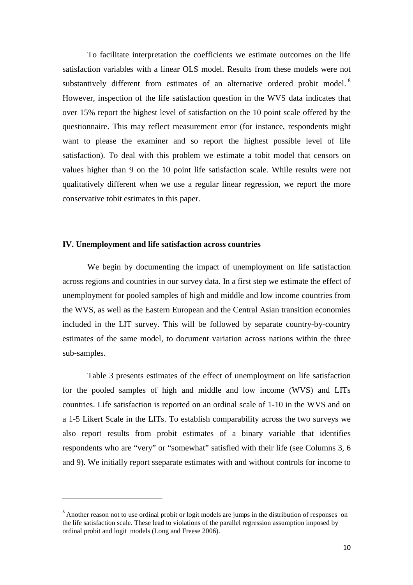To facilitate interpretation the coefficients we estimate outcomes on the life satisfaction variables with a linear OLS model. Results from these models were not substantively different from estimates of an alternative ordered probit model.<sup>8</sup> However, inspection of the life satisfaction question in the WVS data indicates that over 15% report the highest level of satisfaction on the 10 point scale offered by the questionnaire. This may reflect measurement error (for instance, respondents might want to please the examiner and so report the highest possible level of life satisfaction). To deal with this problem we estimate a tobit model that censors on values higher than 9 on the 10 point life satisfaction scale. While results were not qualitatively different when we use a regular linear regression, we report the more conservative tobit estimates in this paper.

### **IV. Unemployment and life satisfaction across countries**

We begin by documenting the impact of unemployment on life satisfaction across regions and countries in our survey data. In a first step we estimate the effect of unemployment for pooled samples of high and middle and low income countries from the WVS, as well as the Eastern European and the Central Asian transition economies included in the LIT survey. This will be followed by separate country-by-country estimates of the same model, to document variation across nations within the three sub-samples.

Table 3 presents estimates of the effect of unemployment on life satisfaction for the pooled samples of high and middle and low income (WVS) and LITs countries. Life satisfaction is reported on an ordinal scale of 1-10 in the WVS and on a 1-5 Likert Scale in the LITs. To establish comparability across the two surveys we also report results from probit estimates of a binary variable that identifies respondents who are "very" or "somewhat" satisfied with their life (see Columns 3, 6 and 9). We initially report sseparate estimates with and without controls for income to

 $\overline{a}$ 

<sup>&</sup>lt;sup>8</sup> Another reason not to use ordinal probit or logit models are jumps in the distribution of responses on the life satisfaction scale. These lead to violations of the parallel regression assumption imposed by ordinal probit and logit models (Long and Freese 2006).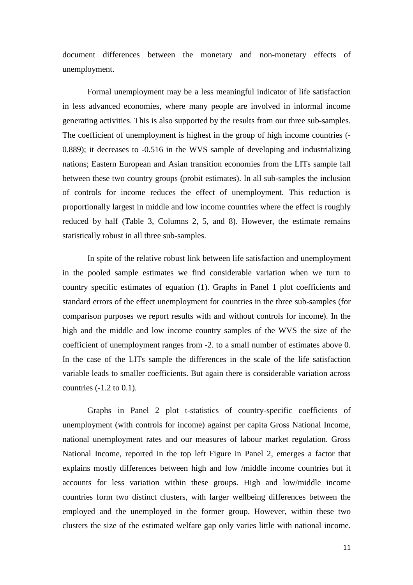document differences between the monetary and non-monetary effects of unemployment.

Formal unemployment may be a less meaningful indicator of life satisfaction in less advanced economies, where many people are involved in informal income generating activities. This is also supported by the results from our three sub-samples. The coefficient of unemployment is highest in the group of high income countries (- 0.889); it decreases to -0.516 in the WVS sample of developing and industrializing nations; Eastern European and Asian transition economies from the LITs sample fall between these two country groups (probit estimates). In all sub-samples the inclusion of controls for income reduces the effect of unemployment. This reduction is proportionally largest in middle and low income countries where the effect is roughly reduced by half (Table 3, Columns 2, 5, and 8). However, the estimate remains statistically robust in all three sub-samples.

In spite of the relative robust link between life satisfaction and unemployment in the pooled sample estimates we find considerable variation when we turn to country specific estimates of equation (1). Graphs in Panel 1 plot coefficients and standard errors of the effect unemployment for countries in the three sub-samples (for comparison purposes we report results with and without controls for income). In the high and the middle and low income country samples of the WVS the size of the coefficient of unemployment ranges from -2. to a small number of estimates above 0. In the case of the LITs sample the differences in the scale of the life satisfaction variable leads to smaller coefficients. But again there is considerable variation across countries (-1.2 to 0.1).

Graphs in Panel 2 plot t-statistics of country-specific coefficients of unemployment (with controls for income) against per capita Gross National Income, national unemployment rates and our measures of labour market regulation. Gross National Income, reported in the top left Figure in Panel 2, emerges a factor that explains mostly differences between high and low /middle income countries but it accounts for less variation within these groups. High and low/middle income countries form two distinct clusters, with larger wellbeing differences between the employed and the unemployed in the former group. However, within these two clusters the size of the estimated welfare gap only varies little with national income.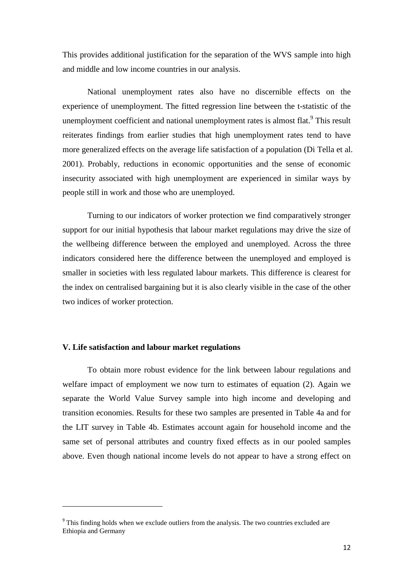This provides additional justification for the separation of the WVS sample into high and middle and low income countries in our analysis.

National unemployment rates also have no discernible effects on the experience of unemployment. The fitted regression line between the t-statistic of the unemployment coefficient and national unemployment rates is almost flat.<sup>9</sup> This result reiterates findings from earlier studies that high unemployment rates tend to have more generalized effects on the average life satisfaction of a population (Di Tella et al. 2001). Probably, reductions in economic opportunities and the sense of economic insecurity associated with high unemployment are experienced in similar ways by people still in work and those who are unemployed.

Turning to our indicators of worker protection we find comparatively stronger support for our initial hypothesis that labour market regulations may drive the size of the wellbeing difference between the employed and unemployed. Across the three indicators considered here the difference between the unemployed and employed is smaller in societies with less regulated labour markets. This difference is clearest for the index on centralised bargaining but it is also clearly visible in the case of the other two indices of worker protection.

# **V. Life satisfaction and labour market regulations**

l

To obtain more robust evidence for the link between labour regulations and welfare impact of employment we now turn to estimates of equation (2). Again we separate the World Value Survey sample into high income and developing and transition economies. Results for these two samples are presented in Table 4a and for the LIT survey in Table 4b. Estimates account again for household income and the same set of personal attributes and country fixed effects as in our pooled samples above. Even though national income levels do not appear to have a strong effect on

<sup>&</sup>lt;sup>9</sup> This finding holds when we exclude outliers from the analysis. The two countries excluded are Ethiopia and Germany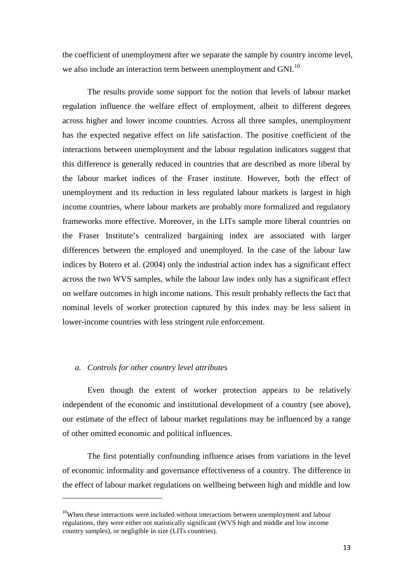the coefficient of unemployment after we separate the sample by country income level, we also include an interaction term between unemployment and GNI.<sup>10</sup>

The results provide some support for the notion that levels of labour market regulation influence the welfare effect of employment, albeit to different degrees across higher and lower income countries. Across all three samples, unemployment has the expected negative effect on life satisfaction. The positive coefficient of the interactions between unemployment and the labour regulation indicators suggest that this difference is generally reduced in countries that are described as more liberal by the labour market indices of the Fraser institute. However, both the effect of unemployment and its reduction in less regulated labour markets is largest in high income countries, where labour markets are probably more formalized and regulatory frameworks more effective. Moreover, in the LITs sample more liberal countries on the Fraser Institute's centralized bargaining index are associated with larger differences between the employed and unemployed. In the case of the labour law indices by Botero et al. (2004) only the industrial action index has a significant effect across the two WVS samples, while the labour law index only has a significant effect on welfare outcomes in high income nations. This result probably reflects the fact that nominal levels of worker protection captured by this index may be less salient in lower-income countries with less stringent rule enforcement.

#### *a. Controls for other country level attributes*

 $\overline{a}$ 

Even though the extent of worker protection appears to be relatively independent of the economic and institutional development of a country (see above), our estimate of the effect of labour market regulations may be influenced by a range of other omitted economic and political influences.

The first potentially confounding influence arises from variations in the level of economic informality and governance effectiveness of a country. The difference in the effect of labour market regulations on wellbeing between high and middle and low

<sup>&</sup>lt;sup>10</sup>When these interactions were included without interactions between unemployment and labour regulations, they were either not statistically significant (WVS high and middle and low income country samples), or negligible in size (LITs countries).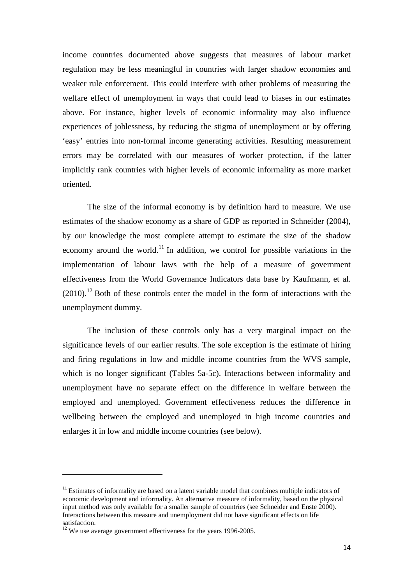income countries documented above suggests that measures of labour market regulation may be less meaningful in countries with larger shadow economies and weaker rule enforcement. This could interfere with other problems of measuring the welfare effect of unemployment in ways that could lead to biases in our estimates above. For instance, higher levels of economic informality may also influence experiences of joblessness, by reducing the stigma of unemployment or by offering 'easy' entries into non-formal income generating activities. Resulting measurement errors may be correlated with our measures of worker protection, if the latter implicitly rank countries with higher levels of economic informality as more market oriented.

The size of the informal economy is by definition hard to measure. We use estimates of the shadow economy as a share of GDP as reported in Schneider (2004), by our knowledge the most complete attempt to estimate the size of the shadow economy around the world.<sup>11</sup> In addition, we control for possible variations in the implementation of labour laws with the help of a measure of government effectiveness from the World Governance Indicators data base by Kaufmann, et al.  $(2010).$ <sup>12</sup> Both of these controls enter the model in the form of interactions with the unemployment dummy.

The inclusion of these controls only has a very marginal impact on the significance levels of our earlier results. The sole exception is the estimate of hiring and firing regulations in low and middle income countries from the WVS sample, which is no longer significant (Tables 5a-5c). Interactions between informality and unemployment have no separate effect on the difference in welfare between the employed and unemployed. Government effectiveness reduces the difference in wellbeing between the employed and unemployed in high income countries and enlarges it in low and middle income countries (see below).

 $\overline{a}$ 

 $11$  Estimates of informality are based on a latent variable model that combines multiple indicators of economic development and informality. An alternative measure of informality, based on the physical input method was only available for a smaller sample of countries (see Schneider and Enste 2000). Interactions between this measure and unemployment did not have significant effects on life satisfaction.

 $12$ <sup>12</sup> We use average government effectiveness for the years 1996-2005.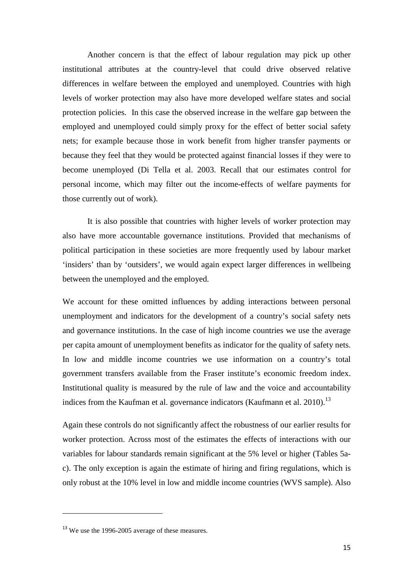Another concern is that the effect of labour regulation may pick up other institutional attributes at the country-level that could drive observed relative differences in welfare between the employed and unemployed. Countries with high levels of worker protection may also have more developed welfare states and social protection policies. In this case the observed increase in the welfare gap between the employed and unemployed could simply proxy for the effect of better social safety nets; for example because those in work benefit from higher transfer payments or because they feel that they would be protected against financial losses if they were to become unemployed (Di Tella et al. 2003. Recall that our estimates control for personal income, which may filter out the income-effects of welfare payments for those currently out of work).

It is also possible that countries with higher levels of worker protection may also have more accountable governance institutions. Provided that mechanisms of political participation in these societies are more frequently used by labour market 'insiders' than by 'outsiders', we would again expect larger differences in wellbeing between the unemployed and the employed.

We account for these omitted influences by adding interactions between personal unemployment and indicators for the development of a country's social safety nets and governance institutions. In the case of high income countries we use the average per capita amount of unemployment benefits as indicator for the quality of safety nets. In low and middle income countries we use information on a country's total government transfers available from the Fraser institute's economic freedom index. Institutional quality is measured by the rule of law and the voice and accountability indices from the Kaufman et al. governance indicators (Kaufmann et al. 2010).<sup>13</sup>

Again these controls do not significantly affect the robustness of our earlier results for worker protection. Across most of the estimates the effects of interactions with our variables for labour standards remain significant at the 5% level or higher (Tables 5ac). The only exception is again the estimate of hiring and firing regulations, which is only robust at the 10% level in low and middle income countries (WVS sample). Also

 $\overline{a}$ 

<sup>&</sup>lt;sup>13</sup> We use the 1996-2005 average of these measures.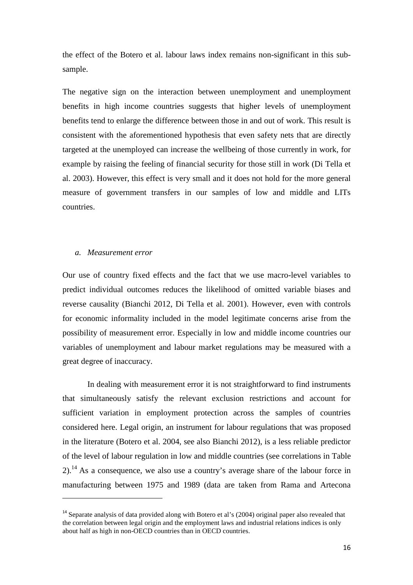the effect of the Botero et al. labour laws index remains non-significant in this subsample.

The negative sign on the interaction between unemployment and unemployment benefits in high income countries suggests that higher levels of unemployment benefits tend to enlarge the difference between those in and out of work. This result is consistent with the aforementioned hypothesis that even safety nets that are directly targeted at the unemployed can increase the wellbeing of those currently in work, for example by raising the feeling of financial security for those still in work (Di Tella et al. 2003). However, this effect is very small and it does not hold for the more general measure of government transfers in our samples of low and middle and LITs countries.

#### *a. Measurement error*

 $\overline{a}$ 

Our use of country fixed effects and the fact that we use macro-level variables to predict individual outcomes reduces the likelihood of omitted variable biases and reverse causality (Bianchi 2012, Di Tella et al. 2001). However, even with controls for economic informality included in the model legitimate concerns arise from the possibility of measurement error. Especially in low and middle income countries our variables of unemployment and labour market regulations may be measured with a great degree of inaccuracy.

In dealing with measurement error it is not straightforward to find instruments that simultaneously satisfy the relevant exclusion restrictions and account for sufficient variation in employment protection across the samples of countries considered here. Legal origin, an instrument for labour regulations that was proposed in the literature (Botero et al. 2004, see also Bianchi 2012), is a less reliable predictor of the level of labour regulation in low and middle countries (see correlations in Table 2).<sup>14</sup> As a consequence, we also use a country's average share of the labour force in manufacturing between 1975 and 1989 (data are taken from Rama and Artecona

<sup>&</sup>lt;sup>14</sup> Separate analysis of data provided along with Botero et al's (2004) original paper also revealed that the correlation between legal origin and the employment laws and industrial relations indices is only about half as high in non-OECD countries than in OECD countries.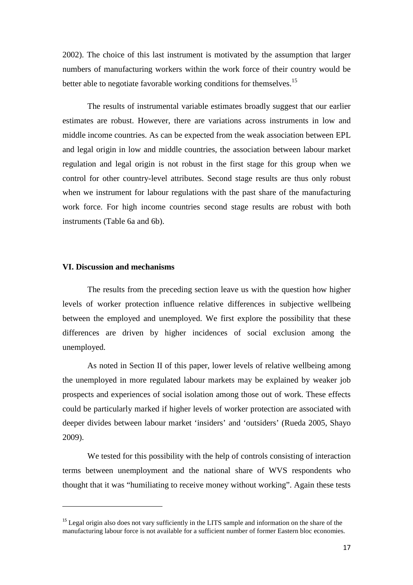2002). The choice of this last instrument is motivated by the assumption that larger numbers of manufacturing workers within the work force of their country would be better able to negotiate favorable working conditions for themselves.<sup>15</sup>

The results of instrumental variable estimates broadly suggest that our earlier estimates are robust. However, there are variations across instruments in low and middle income countries. As can be expected from the weak association between EPL and legal origin in low and middle countries, the association between labour market regulation and legal origin is not robust in the first stage for this group when we control for other country-level attributes. Second stage results are thus only robust when we instrument for labour regulations with the past share of the manufacturing work force. For high income countries second stage results are robust with both instruments (Table 6a and 6b).

#### **VI. Discussion and mechanisms**

l

The results from the preceding section leave us with the question how higher levels of worker protection influence relative differences in subjective wellbeing between the employed and unemployed. We first explore the possibility that these differences are driven by higher incidences of social exclusion among the unemployed.

As noted in Section II of this paper, lower levels of relative wellbeing among the unemployed in more regulated labour markets may be explained by weaker job prospects and experiences of social isolation among those out of work. These effects could be particularly marked if higher levels of worker protection are associated with deeper divides between labour market 'insiders' and 'outsiders' (Rueda 2005, Shayo 2009).

We tested for this possibility with the help of controls consisting of interaction terms between unemployment and the national share of WVS respondents who thought that it was "humiliating to receive money without working". Again these tests

<sup>&</sup>lt;sup>15</sup> Legal origin also does not vary sufficiently in the LITS sample and information on the share of the manufacturing labour force is not available for a sufficient number of former Eastern bloc economies.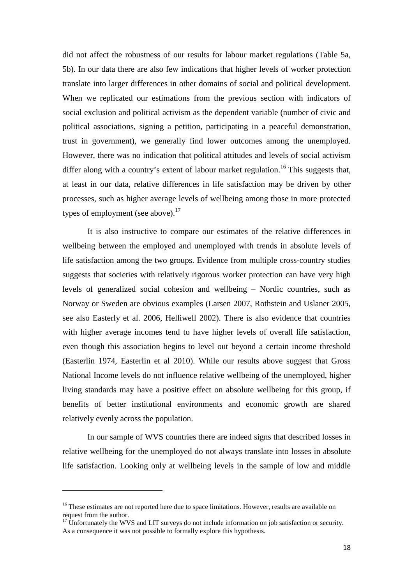did not affect the robustness of our results for labour market regulations (Table 5a, 5b). In our data there are also few indications that higher levels of worker protection translate into larger differences in other domains of social and political development. When we replicated our estimations from the previous section with indicators of social exclusion and political activism as the dependent variable (number of civic and political associations, signing a petition, participating in a peaceful demonstration, trust in government), we generally find lower outcomes among the unemployed. However, there was no indication that political attitudes and levels of social activism differ along with a country's extent of labour market regulation.<sup>16</sup> This suggests that, at least in our data, relative differences in life satisfaction may be driven by other processes, such as higher average levels of wellbeing among those in more protected types of employment (see above).<sup>17</sup>

It is also instructive to compare our estimates of the relative differences in wellbeing between the employed and unemployed with trends in absolute levels of life satisfaction among the two groups. Evidence from multiple cross-country studies suggests that societies with relatively rigorous worker protection can have very high levels of generalized social cohesion and wellbeing – Nordic countries, such as Norway or Sweden are obvious examples (Larsen 2007, Rothstein and Uslaner 2005, see also Easterly et al. 2006, Helliwell 2002). There is also evidence that countries with higher average incomes tend to have higher levels of overall life satisfaction, even though this association begins to level out beyond a certain income threshold (Easterlin 1974, Easterlin et al 2010). While our results above suggest that Gross National Income levels do not influence relative wellbeing of the unemployed, higher living standards may have a positive effect on absolute wellbeing for this group, if benefits of better institutional environments and economic growth are shared relatively evenly across the population.

In our sample of WVS countries there are indeed signs that described losses in relative wellbeing for the unemployed do not always translate into losses in absolute life satisfaction. Looking only at wellbeing levels in the sample of low and middle

l

<sup>&</sup>lt;sup>16</sup> These estimates are not reported here due to space limitations. However, results are available on request from the author.

<sup>&</sup>lt;sup>17</sup> Unfortunately the WVS and LIT surveys do not include information on job satisfaction or security. As a consequence it was not possible to formally explore this hypothesis.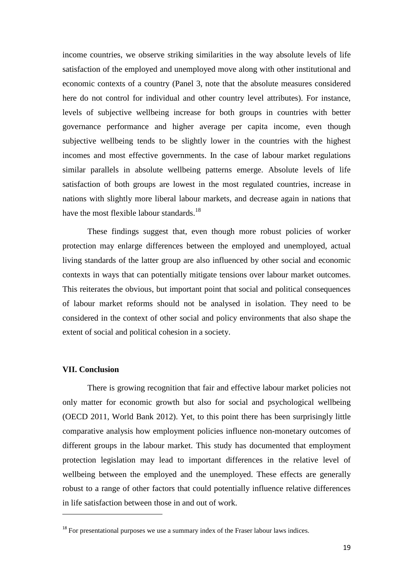income countries, we observe striking similarities in the way absolute levels of life satisfaction of the employed and unemployed move along with other institutional and economic contexts of a country (Panel 3, note that the absolute measures considered here do not control for individual and other country level attributes). For instance, levels of subjective wellbeing increase for both groups in countries with better governance performance and higher average per capita income, even though subjective wellbeing tends to be slightly lower in the countries with the highest incomes and most effective governments. In the case of labour market regulations similar parallels in absolute wellbeing patterns emerge. Absolute levels of life satisfaction of both groups are lowest in the most regulated countries, increase in nations with slightly more liberal labour markets, and decrease again in nations that have the most flexible labour standards.<sup>18</sup>

These findings suggest that, even though more robust policies of worker protection may enlarge differences between the employed and unemployed, actual living standards of the latter group are also influenced by other social and economic contexts in ways that can potentially mitigate tensions over labour market outcomes. This reiterates the obvious, but important point that social and political consequences of labour market reforms should not be analysed in isolation. They need to be considered in the context of other social and policy environments that also shape the extent of social and political cohesion in a society.

# **VII. Conclusion**

l

There is growing recognition that fair and effective labour market policies not only matter for economic growth but also for social and psychological wellbeing (OECD 2011, World Bank 2012). Yet, to this point there has been surprisingly little comparative analysis how employment policies influence non-monetary outcomes of different groups in the labour market. This study has documented that employment protection legislation may lead to important differences in the relative level of wellbeing between the employed and the unemployed. These effects are generally robust to a range of other factors that could potentially influence relative differences in life satisfaction between those in and out of work.

 $18$  For presentational purposes we use a summary index of the Fraser labour laws indices.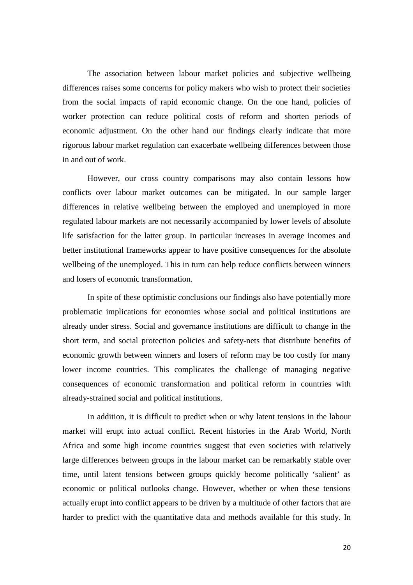The association between labour market policies and subjective wellbeing differences raises some concerns for policy makers who wish to protect their societies from the social impacts of rapid economic change. On the one hand, policies of worker protection can reduce political costs of reform and shorten periods of economic adjustment. On the other hand our findings clearly indicate that more rigorous labour market regulation can exacerbate wellbeing differences between those in and out of work.

However, our cross country comparisons may also contain lessons how conflicts over labour market outcomes can be mitigated. In our sample larger differences in relative wellbeing between the employed and unemployed in more regulated labour markets are not necessarily accompanied by lower levels of absolute life satisfaction for the latter group. In particular increases in average incomes and better institutional frameworks appear to have positive consequences for the absolute wellbeing of the unemployed. This in turn can help reduce conflicts between winners and losers of economic transformation.

In spite of these optimistic conclusions our findings also have potentially more problematic implications for economies whose social and political institutions are already under stress. Social and governance institutions are difficult to change in the short term, and social protection policies and safety-nets that distribute benefits of economic growth between winners and losers of reform may be too costly for many lower income countries. This complicates the challenge of managing negative consequences of economic transformation and political reform in countries with already-strained social and political institutions.

In addition, it is difficult to predict when or why latent tensions in the labour market will erupt into actual conflict. Recent histories in the Arab World, North Africa and some high income countries suggest that even societies with relatively large differences between groups in the labour market can be remarkably stable over time, until latent tensions between groups quickly become politically 'salient' as economic or political outlooks change. However, whether or when these tensions actually erupt into conflict appears to be driven by a multitude of other factors that are harder to predict with the quantitative data and methods available for this study. In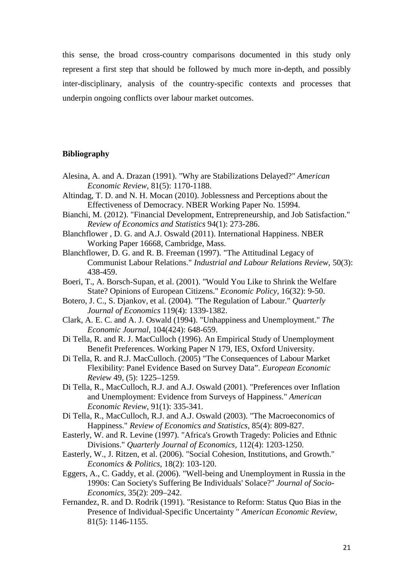this sense, the broad cross-country comparisons documented in this study only represent a first step that should be followed by much more in-depth, and possibly inter-disciplinary, analysis of the country-specific contexts and processes that underpin ongoing conflicts over labour market outcomes.

# **Bibliography**

- Alesina, A. and A. Drazan (1991). "Why are Stabilizations Delayed?" *American Economic Review,* 81(5): 1170-1188.
- Altindag, T. D. and N. H. Mocan (2010). Joblessness and Perceptions about the Effectiveness of Democracy. NBER Working Paper No. 15994.
- Bianchi, M. (2012). "Financial Development, Entrepreneurship, and Job Satisfaction." *Review of Economics and Statistics* 94(1): 273-286.
- Blanchflower , D. G. and A.J. Oswald (2011). International Happiness. NBER Working Paper 16668, Cambridge, Mass.
- Blanchflower, D. G. and R. B. Freeman (1997). "The Attitudinal Legacy of Communist Labour Relations." *Industrial and Labour Relations Review,* 50(3): 438-459.
- Boeri, T., A. Borsch-Supan, et al. (2001). "Would You Like to Shrink the Welfare State? Opinions of European Citizens." *Economic Policy,* 16(32): 9-50.
- Botero, J. C., S. Djankov, et al. (2004). "The Regulation of Labour." *Quarterly Journal of Economics* 119(4): 1339-1382.
- Clark, A. E. C. and A. J. Oswald (1994). "Unhappiness and Unemployment." *The Economic Journal,* 104(424): 648-659.
- Di Tella, R. and R. J. MacCulloch (1996). An Empirical Study of Unemployment Benefit Preferences. Working Paper N 179, IES, Oxford University.
- Di Tella, R. and R.J. MacCulloch. (2005) "The Consequences of Labour Market Flexibility: Panel Evidence Based on Survey Data". *European Economic Review* 49, (5): 1225–1259.
- Di Tella, R., MacCulloch, R.J. and A.J. Oswald (2001). "Preferences over Inflation and Unemployment: Evidence from Surveys of Happiness." *American Economic Review,* 91(1): 335-341.
- Di Tella, R., MacCulloch, R.J. and A.J. Oswald (2003). "The Macroeconomics of Happiness." *Review of Economics and Statistics,* 85(4): 809-827.
- Easterly, W. and R. Levine (1997). "Africa's Growth Tragedy: Policies and Ethnic Divisions." *Quarterly Journal of Economics,* 112(4): 1203-1250.
- Easterly, W., J. Ritzen, et al. (2006). "Social Cohesion, Institutions, and Growth." *Economics & Politics,* 18(2): 103-120.
- Eggers, A., C. Gaddy, et al. (2006). "Well-being and Unemployment in Russia in the 1990s: Can Society's Suffering Be Individuals' Solace?" *Journal of Socio-Economics,* 35(2): 209–242.
- Fernandez, R. and D. Rodrik (1991). "Resistance to Reform: Status Quo Bias in the Presence of Individual-Specific Uncertainty " *American Economic Review,*  81(5): 1146-1155.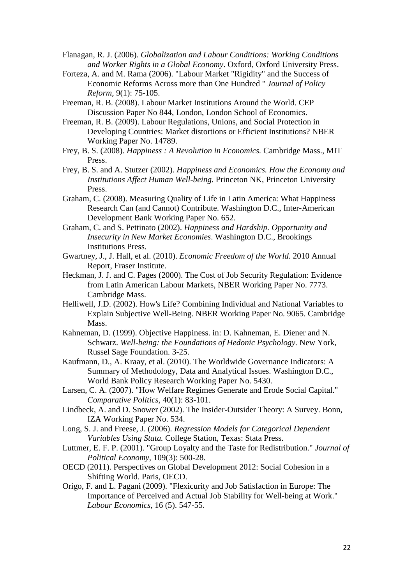Flanagan, R. J. (2006). *Globalization and Labour Conditions: Working Conditions and Worker Rights in a Global Economy*. Oxford, Oxford University Press.

Forteza, A. and M. Rama (2006). "Labour Market "Rigidity" and the Success of Economic Reforms Across more than One Hundred " *Journal of Policy Reform,* 9(1): 75-105.

Freeman, R. B. (2008). Labour Market Institutions Around the World. CEP Discussion Paper No 844, London, London School of Economics.

Freeman, R. B. (2009). Labour Regulations, Unions, and Social Protection in Developing Countries: Market distortions or Efficient Institutions? NBER Working Paper No. 14789.

- Frey, B. S. (2008). *Happiness : A Revolution in Economics.* Cambridge Mass., MIT Press.
- Frey, B. S. and A. Stutzer (2002). *Happiness and Economics. How the Economy and Institutions Affect Human Well-being.* Princeton NK, Princeton University Press.
- Graham, C. (2008). Measuring Quality of Life in Latin America: What Happiness Research Can (and Cannot) Contribute. Washington D.C., Inter-American Development Bank Working Paper No. 652.
- Graham, C. and S. Pettinato (2002). *Happiness and Hardship. Opportunity and Insecurity in New Market Economies*. Washington D.C., Brookings Institutions Press.
- Gwartney, J., J. Hall, et al. (2010). *Economic Freedom of the World*. 2010 Annual Report, Fraser Institute.
- Heckman, J. J. and C. Pages (2000). The Cost of Job Security Regulation: Evidence from Latin American Labour Markets, NBER Working Paper No. 7773. Cambridge Mass.
- Helliwell, J.D. (2002). How's Life? Combining Individual and National Variables to Explain Subjective Well-Being. NBER Working Paper No. 9065. Cambridge Mass.
- Kahneman, D. (1999). Objective Happiness. in: D. Kahneman, E. Diener and N. Schwarz. *Well-being: the Foundations of Hedonic Psychology.* New York, Russel Sage Foundation. 3-25.
- Kaufmann, D., A. Kraay, et al. (2010). The Worldwide Governance Indicators: A Summary of Methodology, Data and Analytical Issues. Washington D.C., World Bank Policy Research Working Paper No. 5430.
- Larsen, C. A. (2007). "How Welfare Regimes Generate and Erode Social Capital." *Comparative Politics,* 40(1): 83-101.
- Lindbeck, A. and D. Snower (2002). The Insider-Outsider Theory: A Survey. Bonn, IZA Working Paper No. 534.
- Long, S. J. and Freese, J. (2006). *Regression Models for Categorical Dependent Variables Using Stata.* College Station, Texas: Stata Press.
- Luttmer, E. F. P. (2001). "Group Loyalty and the Taste for Redistribution." *Journal of Political Economy,* 109(3): 500-28.
- OECD (2011). Perspectives on Global Development 2012: Social Cohesion in a Shifting World. Paris, OECD.
- Origo, F. and L. Pagani (2009). "Flexicurity and Job Satisfaction in Europe: The Importance of Perceived and Actual Job Stability for Well-being at Work." *Labour Economics,* 16 (5). 547-55.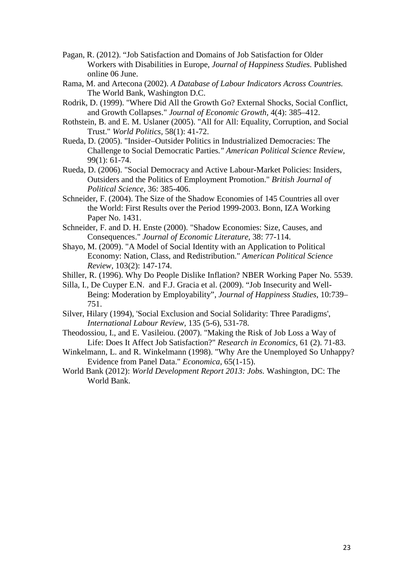- Pagan, R. (2012). "Job Satisfaction and Domains of Job Satisfaction for Older Workers with Disabilities in Europe, *Journal of Happiness Studies.* Published online 06 June.
- Rama, M. and Artecona (2002). *A Database of Labour Indicators Across Countries.* The World Bank, Washington D.C.
- Rodrik, D. (1999). "Where Did All the Growth Go? External Shocks, Social Conflict, and Growth Collapses." *Journal of Economic Growth,* 4(4): 385–412.
- Rothstein, B. and E. M. Uslaner (2005). "All for All: Equality, Corruption, and Social Trust." *World Politics,* 58(1): 41-72.
- Rueda, D. (2005). "Insider–Outsider Politics in Industrialized Democracies: The Challenge to Social Democratic Parties*." American Political Science Review,* 99(1): 61-74.
- Rueda, D. (2006). "Social Democracy and Active Labour-Market Policies: Insiders, Outsiders and the Politics of Employment Promotion." *British Journal of Political Science*, 36: 385-406.
- Schneider, F. (2004). The Size of the Shadow Economies of 145 Countries all over the World: First Results over the Period 1999-2003. Bonn, IZA Working Paper No. 1431.
- Schneider, F. and D. H. Enste (2000). "Shadow Economies: Size, Causes, and Consequences." *Journal of Economic Literature,* 38: 77-114.
- Shayo, M. (2009). "A Model of Social Identity with an Application to Political Economy: Nation, Class, and Redistribution." *American Political Science Review,* 103(2): 147-174.
- Shiller, R. (1996). Why Do People Dislike Inflation? NBER Working Paper No. 5539.
- Silla, I., De Cuyper E.N. and F.J. Gracia et al. (2009). "Job Insecurity and Well-Being: Moderation by Employability", *Journal of Happiness Studies,* 10:739– 751.
- Silver, Hilary (1994), 'Social Exclusion and Social Solidarity: Three Paradigms', *International Labour Review,* 135 (5-6), 531-78.
- Theodossiou, I., and E. Vasileiou. (2007). "Making the Risk of Job Loss a Way of Life: Does It Affect Job Satisfaction?" *Research in Economics,* 61 (2). 71-83.
- Winkelmann, L. and R. Winkelmann (1998). "Why Are the Unemployed So Unhappy? Evidence from Panel Data." *Economica*, 65(1-15).
- World Bank (2012): *World Development Report 2013: Jobs.* Washington, DC: The World Bank.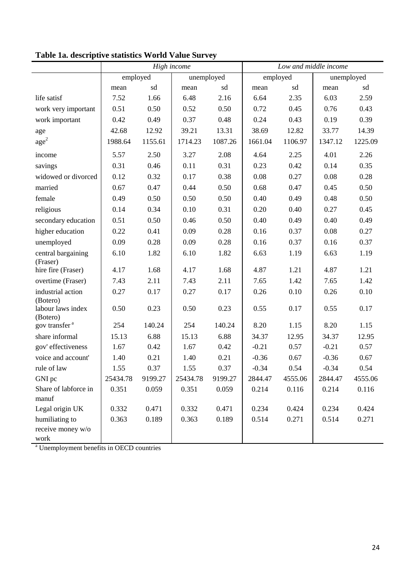|                                                              |          |         | High income |         | Low and middle income |         |         |            |  |  |
|--------------------------------------------------------------|----------|---------|-------------|---------|-----------------------|---------|---------|------------|--|--|
|                                                              | employed |         | unemployed  |         | employed              |         |         | unemployed |  |  |
|                                                              | mean     | sd      | mean        | sd      | mean                  | sd      | mean    | sd         |  |  |
| life satisf                                                  | 7.52     | 1.66    | 6.48        | 2.16    | 6.64                  | 2.35    | 6.03    | 2.59       |  |  |
| work very important                                          | 0.51     | 0.50    | 0.52        | 0.50    | 0.72                  | 0.45    | 0.76    | 0.43       |  |  |
| work important                                               | 0.42     | 0.49    | 0.37        | 0.48    | 0.24                  | 0.43    | 0.19    | 0.39       |  |  |
| age                                                          | 42.68    | 12.92   | 39.21       | 13.31   | 38.69                 | 12.82   | 33.77   | 14.39      |  |  |
| $\rm age^2$                                                  | 1988.64  | 1155.61 | 1714.23     | 1087.26 | 1661.04               | 1106.97 | 1347.12 | 1225.09    |  |  |
| income                                                       | 5.57     | 2.50    | 3.27        | 2.08    | 4.64                  | 2.25    | 4.01    | 2.26       |  |  |
| savings                                                      | 0.31     | 0.46    | 0.11        | 0.31    | 0.23                  | 0.42    | 0.14    | 0.35       |  |  |
| widowed or divorced                                          | 0.12     | 0.32    | 0.17        | 0.38    | 0.08                  | 0.27    | 0.08    | 0.28       |  |  |
| married                                                      | 0.67     | 0.47    | 0.44        | 0.50    | 0.68                  | 0.47    | 0.45    | 0.50       |  |  |
| female                                                       | 0.49     | 0.50    | 0.50        | 0.50    | 0.40                  | 0.49    | 0.48    | 0.50       |  |  |
| religious                                                    | 0.14     | 0.34    | 0.10        | 0.31    | 0.20                  | 0.40    | 0.27    | 0.45       |  |  |
| secondary education                                          | 0.51     | 0.50    | 0.46        | 0.50    | 0.40                  | 0.49    | 0.40    | 0.49       |  |  |
| higher education                                             | 0.22     | 0.41    | 0.09        | 0.28    | 0.16                  | 0.37    | 0.08    | 0.27       |  |  |
| unemployed                                                   | 0.09     | 0.28    | 0.09        | 0.28    | 0.16                  | 0.37    | 0.16    | 0.37       |  |  |
| central bargaining                                           | 6.10     | 1.82    | 6.10        | 1.82    | 6.63                  | 1.19    | 6.63    | 1.19       |  |  |
| (Fraser)<br>hire fire (Fraser)                               | 4.17     | 1.68    | 4.17        | 1.68    | 4.87                  | 1.21    | 4.87    | 1.21       |  |  |
| overtime (Fraser)                                            | 7.43     | 2.11    | 7.43        | 2.11    | 7.65                  | 1.42    | 7.65    | 1.42       |  |  |
| industrial action                                            | 0.27     | 0.17    | 0.27        | 0.17    | 0.26                  | 0.10    | 0.26    | 0.10       |  |  |
| (Botero)                                                     |          |         |             |         |                       |         |         |            |  |  |
| labour laws index                                            | 0.50     | 0.23    | 0.50        | 0.23    | 0.55                  | 0.17    | 0.55    | 0.17       |  |  |
| (Botero)<br>gov transfer <sup>a</sup>                        | 254      | 140.24  | 254         | 140.24  | 8.20                  | 1.15    | 8.20    | 1.15       |  |  |
| share informal                                               | 15.13    | 6.88    | 15.13       | 6.88    | 34.37                 | 12.95   | 34.37   | 12.95      |  |  |
| gov' effectiveness                                           | 1.67     | 0.42    | 1.67        | 0.42    | $-0.21$               | 0.57    | $-0.21$ | 0.57       |  |  |
| voice and account'                                           | 1.40     | 0.21    | 1.40        | 0.21    | $-0.36$               | 0.67    | $-0.36$ | 0.67       |  |  |
| rule of law                                                  | 1.55     | 0.37    | 1.55        | 0.37    | $-0.34$               | 0.54    | $-0.34$ | 0.54       |  |  |
| GNI pc                                                       | 25434.78 | 9199.27 | 25434.78    | 9199.27 | 2844.47               | 4555.06 | 2844.47 | 4555.06    |  |  |
| Share of labforce in                                         | 0.351    | 0.059   | 0.351       | 0.059   | 0.214                 | 0.116   | 0.214   | 0.116      |  |  |
| manuf                                                        |          |         |             |         |                       |         |         |            |  |  |
| Legal origin UK                                              | 0.332    | 0.471   | 0.332       | 0.471   | 0.234                 | 0.424   | 0.234   | 0.424      |  |  |
| humiliating to                                               | 0.363    | 0.189   | 0.363       | 0.189   | 0.514                 | 0.271   | 0.514   | 0.271      |  |  |
| receive money w/o                                            |          |         |             |         |                       |         |         |            |  |  |
| work<br><sup>a</sup> Unemployment benefits in OECD countries |          |         |             |         |                       |         |         |            |  |  |

# **Table 1a. descriptive statistics World Value Survey**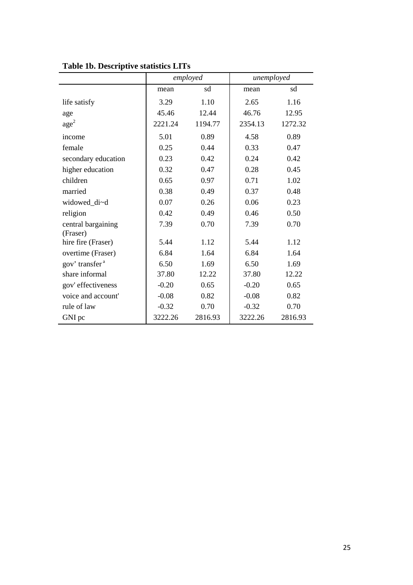|                                |         | employed | unemployed |         |
|--------------------------------|---------|----------|------------|---------|
|                                | mean    | sd       | mean       | sd      |
| life satisfy                   | 3.29    | 1.10     | 2.65       | 1.16    |
| age                            | 45.46   | 12.44    | 46.76      | 12.95   |
| $\text{age}^2$                 | 2221.24 | 1194.77  | 2354.13    | 1272.32 |
| income                         | 5.01    | 0.89     | 4.58       | 0.89    |
| female                         | 0.25    | 0.44     | 0.33       | 0.47    |
| secondary education            | 0.23    | 0.42     | 0.24       | 0.42    |
| higher education               | 0.32    | 0.47     | 0.28       | 0.45    |
| children                       | 0.65    | 0.97     | 0.71       | 1.02    |
| married                        | 0.38    | 0.49     | 0.37       | 0.48    |
| widowed di~d                   | 0.07    | 0.26     | 0.06       | 0.23    |
| religion                       | 0.42    | 0.49     | 0.46       | 0.50    |
| central bargaining<br>(Fraser) | 7.39    | 0.70     | 7.39       | 0.70    |
| hire fire (Fraser)             | 5.44    | 1.12     | 5.44       | 1.12    |
| overtime (Fraser)              | 6.84    | 1.64     | 6.84       | 1.64    |
| gov' transfer <sup>a</sup>     | 6.50    | 1.69     | 6.50       | 1.69    |
| share informal                 | 37.80   | 12.22    | 37.80      | 12.22   |
| gov' effectiveness             | $-0.20$ | 0.65     | $-0.20$    | 0.65    |
| voice and account'             | $-0.08$ | 0.82     | $-0.08$    | 0.82    |
| rule of law                    | $-0.32$ | 0.70     | $-0.32$    | 0.70    |
| GNI pc                         | 3222.26 | 2816.93  | 3222.26    | 2816.93 |

**Table 1b. Descriptive statistics LITs**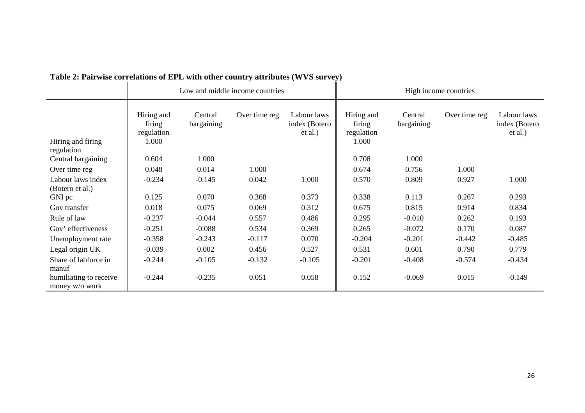| <b>Facture</b> : <b>Fail wise correlations of ETL</b> with other country attributes ( $W$ ) is survey) |                                             |                       |                                 |                                         | High income countries                       |                       |               |                                         |  |  |
|--------------------------------------------------------------------------------------------------------|---------------------------------------------|-----------------------|---------------------------------|-----------------------------------------|---------------------------------------------|-----------------------|---------------|-----------------------------------------|--|--|
|                                                                                                        |                                             |                       | Low and middle income countries |                                         |                                             |                       |               |                                         |  |  |
| Hiring and firing<br>regulation                                                                        | Hiring and<br>firing<br>regulation<br>1.000 | Central<br>bargaining | Over time reg                   | Labour laws<br>index (Botero<br>et al.) | Hiring and<br>firing<br>regulation<br>1.000 | Central<br>bargaining | Over time reg | Labour laws<br>index (Botero<br>et al.) |  |  |
| Central bargaining                                                                                     | 0.604                                       | 1.000                 |                                 |                                         | 0.708                                       | 1.000                 |               |                                         |  |  |
| Over time reg                                                                                          | 0.048                                       | 0.014                 | 1.000                           |                                         | 0.674                                       | 0.756                 | 1.000         |                                         |  |  |
| Labour laws index<br>(Botero et al.)                                                                   | $-0.234$                                    | $-0.145$              | 0.042                           | 1.000                                   | 0.570                                       | 0.809                 | 0.927         | 1.000                                   |  |  |
| GNI pc                                                                                                 | 0.125                                       | 0.070                 | 0.368                           | 0.373                                   | 0.338                                       | 0.113                 | 0.267         | 0.293                                   |  |  |
| Gov transfer                                                                                           | 0.018                                       | 0.075                 | 0.069                           | 0.312                                   | 0.675                                       | 0.815                 | 0.914         | 0.834                                   |  |  |
| Rule of law                                                                                            | $-0.237$                                    | $-0.044$              | 0.557                           | 0.486                                   | 0.295                                       | $-0.010$              | 0.262         | 0.193                                   |  |  |
| Gov' effectiveness                                                                                     | $-0.251$                                    | $-0.088$              | 0.534                           | 0.369                                   | 0.265                                       | $-0.072$              | 0.170         | 0.087                                   |  |  |
| Unemployment rate                                                                                      | $-0.358$                                    | $-0.243$              | $-0.117$                        | 0.070                                   | $-0.204$                                    | $-0.201$              | $-0.442$      | $-0.485$                                |  |  |
| Legal origin UK                                                                                        | $-0.039$                                    | 0.002                 | 0.456                           | 0.527                                   | 0.531                                       | 0.601                 | 0.790         | 0.779                                   |  |  |
| Share of labforce in<br>manuf                                                                          | $-0.244$                                    | $-0.105$              | $-0.132$                        | $-0.105$                                | $-0.201$                                    | $-0.408$              | $-0.574$      | $-0.434$                                |  |  |
| humiliating to receive<br>money w/o work                                                               | $-0.244$                                    | $-0.235$              | 0.051                           | 0.058                                   | 0.152                                       | $-0.069$              | 0.015         | $-0.149$                                |  |  |

# **Table 2: Pairwise correlations of EPL with other country attributes (WVS survey)**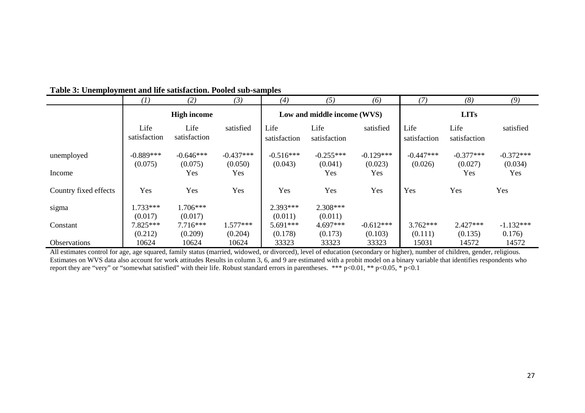|                       | (1)                  | (2)                   | (3)            | (4)                  | (5)                         | (6)            | (7)                  | (8)                  | (9)            |  |  |
|-----------------------|----------------------|-----------------------|----------------|----------------------|-----------------------------|----------------|----------------------|----------------------|----------------|--|--|
|                       | <b>High income</b>   |                       |                |                      | Low and middle income (WVS) |                |                      | <b>LITs</b>          |                |  |  |
|                       | Life<br>satisfaction | Life<br>satisfaction  | satisfied      | Life<br>satisfaction | Life<br>satisfaction        | satisfied      | Life<br>satisfaction | Life<br>satisfaction | satisfied      |  |  |
| unemployed            | $-0.889***$          | $-0.646***$           | $-0.437***$    | $-0.516***$          | $-0.255***$                 | $-0.129***$    | $-0.447***$          | $-0.377***$          | $-0.372***$    |  |  |
| Income                | (0.075)              | (0.075)<br>Yes        | (0.050)<br>Yes | (0.043)              | (0.041)<br>Yes              | (0.023)<br>Yes | (0.026)              | (0.027)<br>Yes       | (0.034)<br>Yes |  |  |
| Country fixed effects | Yes                  | Yes                   | Yes            | Yes                  | Yes                         | Yes            | Yes                  | Yes                  | Yes            |  |  |
| sigma                 | $1.733***$           | $1.706***$            |                | $2.393***$           | $2.308***$                  |                |                      |                      |                |  |  |
| Constant              | (0.017)<br>7.825***  | (0.017)<br>$7.716***$ | $1.577***$     | (0.011)<br>5.691***  | (0.011)<br>$4.697***$       | $-0.612***$    | $3.762***$           | $2.427***$           | $-1.132***$    |  |  |
|                       | (0.212)              | (0.209)               | (0.204)        | (0.178)              | (0.173)                     | (0.103)        | (0.111)              | (0.135)              | 0.176)         |  |  |
| Observations          | 10624                | 10624                 | 10624          | 33323                | 33323                       | 33323          | 15031                | 14572                | 14572          |  |  |

# **Table 3: Unemployment and life satisfaction. Pooled sub-samples**

All estimates control for age, age squared, family status (married, widowed, or divorced), level of education (secondary or higher), number of children, gender, religious. Estimates on WVS data also account for work attitudes Results in column 3, 6, and 9 are estimated with a probit model on a binary variable that identifies respondents who report they are "very" or "somewhat satisfied" with their life. Robust standard errors in parentheses. \*\*\* p<0.01, \*\* p<0.05, \* p<0.1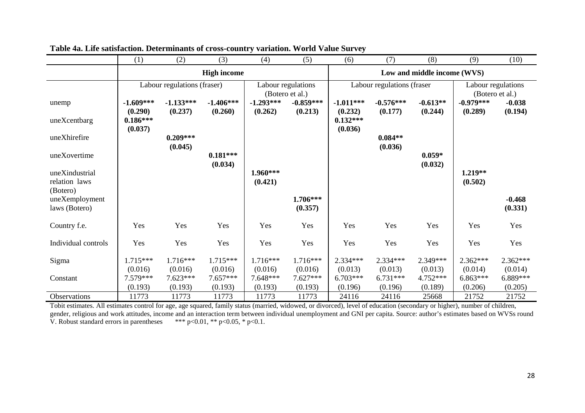|                                             | (1)                              | (2)                         | (3)                   | (4)                                   | (5)                         | (6)                              | (7)                        | (8)                 | (9)                   | (10)                                  |
|---------------------------------------------|----------------------------------|-----------------------------|-----------------------|---------------------------------------|-----------------------------|----------------------------------|----------------------------|---------------------|-----------------------|---------------------------------------|
|                                             |                                  |                             | <b>High income</b>    |                                       | Low and middle income (WVS) |                                  |                            |                     |                       |                                       |
|                                             |                                  | Labour regulations (fraser) |                       | Labour regulations<br>(Botero et al.) |                             |                                  | Labour regulations (fraser |                     |                       | Labour regulations<br>(Botero et al.) |
| unemp                                       | $-1.609***$                      | $-1.133***$                 | $-1.406***$           | $-1.293***$                           | $-0.859***$                 | $-1.011***$                      | $-0.576***$                | $-0.613**$          | $-0.979***$           | $-0.038$                              |
| uneXcentbarg                                | (0.290)<br>$0.186***$<br>(0.037) | (0.237)                     | (0.260)               | (0.262)                               | (0.213)                     | (0.232)<br>$0.132***$<br>(0.036) | (0.177)                    | (0.244)             | (0.289)               | (0.194)                               |
| uneXhirefire                                |                                  | $0.209***$                  |                       |                                       |                             |                                  | $0.084**$                  |                     |                       |                                       |
| uneXovertime                                |                                  | (0.045)                     | $0.181***$<br>(0.034) |                                       |                             |                                  | (0.036)                    | $0.059*$<br>(0.032) |                       |                                       |
| uneXindustrial<br>relation laws             |                                  |                             |                       | 1.960***<br>(0.421)                   |                             |                                  |                            |                     | 1.219**<br>(0.502)    |                                       |
| (Botero)<br>uneXemployment<br>laws (Botero) |                                  |                             |                       |                                       | 1.706***<br>(0.357)         |                                  |                            |                     |                       | $-0.468$<br>(0.331)                   |
| Country f.e.                                | Yes                              | Yes                         | Yes                   | Yes                                   | Yes                         | Yes                              | Yes                        | Yes                 | Yes                   | Yes                                   |
| Individual controls                         | Yes                              | Yes                         | Yes                   | Yes                                   | Yes                         | Yes                              | Yes                        | Yes                 | Yes                   | Yes                                   |
| Sigma                                       | $1.715***$                       | $1.716***$                  | 1.715***              | $1.716***$                            | $1.716***$                  | $2.334***$                       | 2.334***                   | 2.349***            | $2.362***$            | $2.362***$                            |
|                                             | (0.016)                          | (0.016)                     | (0.016)               | (0.016)                               | (0.016)                     | (0.013)                          | (0.013)                    | (0.013)             | (0.014)               | (0.014)                               |
| Constant                                    | 7.579***<br>(0.193)              | $7.623***$<br>(0.193)       | $7.657***$<br>(0.193) | 7.648***<br>(0.193)                   | $7.627***$<br>(0.193)       | $6.703***$<br>(0.196)            | $6.731***$<br>(0.196)      | 4.752***<br>(0.189) | $6.863***$<br>(0.206) | 6.889***<br>(0.205)                   |
| Observations                                | 11773                            | 11773                       | 11773                 | 11773                                 | 11773                       | 24116                            | 24116                      | 25668               | 21752                 | 21752                                 |

**Table 4a. Life satisfaction. Determinants of cross-country variation. World Value Survey** 

Tobit estimates. All estimates control for age, age squared, family status (married, widowed, or divorced), level of education (secondary or higher), number of children, gender, religious and work attitudes, income and an interaction term between individual unemployment and GNI per capita. Source: author's estimates based on WVSs round V. Robust standard errors in parentheses  $***$  p<0.01, \*\* p<0.05, \* p<0.1.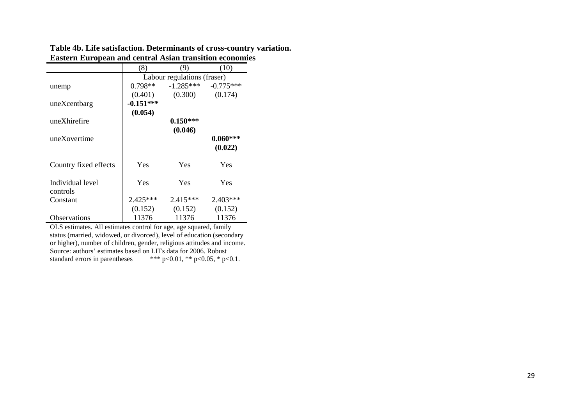**Table 4b. Life satisfaction. Determinants of cross-country variation. Eastern European and central Asian transition economies** 

|                       | (8)         | (9)                         | (10)        |
|-----------------------|-------------|-----------------------------|-------------|
|                       |             | Labour regulations (fraser) |             |
| unemp                 | $0.798**$   | $-1.285***$                 | $-0.775***$ |
|                       | (0.401)     | (0.300)                     | (0.174)     |
| uneXcentbarg          | $-0.151***$ |                             |             |
|                       | (0.054)     |                             |             |
| uneXhirefire          |             | $0.150***$                  |             |
|                       |             | (0.046)                     |             |
| uneXovertime          |             |                             | $0.060***$  |
|                       |             |                             | (0.022)     |
|                       |             |                             |             |
| Country fixed effects | Yes         | Yes                         | Yes         |
|                       |             |                             |             |
| Individual level      | Yes         | <b>Yes</b>                  | Yes         |
| controls              |             |                             |             |
| Constant              | $2.425***$  | 2.415***                    | $2.403***$  |
|                       | (0.152)     | (0.152)                     | (0.152)     |
| <b>Observations</b>   | 11376       | 11376                       | 11376       |

OLS estimates. All estimates control for age, age squared, family status (married, widowed, or divorced), level of education (secondary or higher), number of children, gender, religious attitudes and income. Source: authors' estimates based on LITs data for 2006. Robust standard errors in parentheses \*\*\* p<0.01, \*\* p<0.05, \* p<0.1.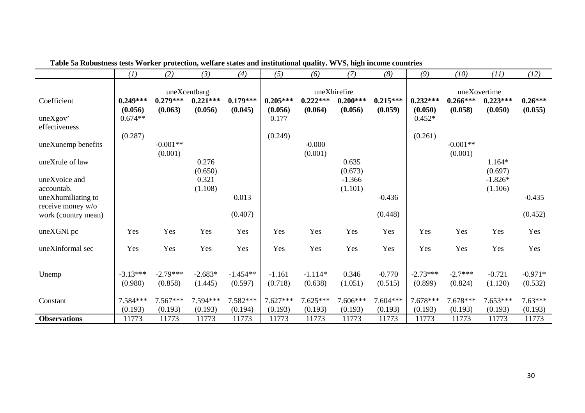|                     | (1)                   | (2)                   | (3)                   | (4)                   | (5)                   | (6)                   | (7)                   | (8)                   | (9)                   | (10)                  | (11)                  | (12)                 |
|---------------------|-----------------------|-----------------------|-----------------------|-----------------------|-----------------------|-----------------------|-----------------------|-----------------------|-----------------------|-----------------------|-----------------------|----------------------|
|                     |                       |                       | uneXcentbarg          |                       |                       |                       | uneXhirefire          |                       |                       |                       | uneXovertime          |                      |
| Coefficient         | $0.249***$<br>(0.056) | $0.279***$<br>(0.063) | $0.221***$<br>(0.056) | $0.179***$<br>(0.045) | $0.205***$<br>(0.056) | $0.222***$<br>(0.064) | $0.200***$<br>(0.056) | $0.215***$<br>(0.059) | $0.232***$<br>(0.050) | $0.266***$<br>(0.058) | $0.223***$<br>(0.050) | $0.26***$<br>(0.055) |
| uneXgov'            | $0.674**$             |                       |                       |                       | 0.177                 |                       |                       |                       | $0.452*$              |                       |                       |                      |
| effectiveness       |                       |                       |                       |                       |                       |                       |                       |                       |                       |                       |                       |                      |
|                     | (0.287)               |                       |                       |                       | (0.249)               |                       |                       |                       | (0.261)               |                       |                       |                      |
| uneXunemp benefits  |                       | $-0.001**$            |                       |                       |                       | $-0.000$              |                       |                       |                       | $-0.001**$            |                       |                      |
|                     |                       | (0.001)               |                       |                       |                       | (0.001)               |                       |                       |                       | (0.001)               |                       |                      |
| uneXrule of law     |                       |                       | 0.276<br>(0.650)      |                       |                       |                       | 0.635<br>(0.673)      |                       |                       |                       | $1.164*$<br>(0.697)   |                      |
| uneXvoice and       |                       |                       | 0.321                 |                       |                       |                       | $-1.366$              |                       |                       |                       | $-1.826*$             |                      |
| accountab.          |                       |                       | (1.108)               |                       |                       |                       | (1.101)               |                       |                       |                       | (1.106)               |                      |
| uneXhumiliating to  |                       |                       |                       | 0.013                 |                       |                       |                       | $-0.436$              |                       |                       |                       | $-0.435$             |
| receive money w/o   |                       |                       |                       |                       |                       |                       |                       |                       |                       |                       |                       |                      |
| work (country mean) |                       |                       |                       | (0.407)               |                       |                       |                       | (0.448)               |                       |                       |                       | (0.452)              |
| uneXGNI pc          | Yes                   | Yes                   | Yes                   | Yes                   | Yes                   | Yes                   | Yes                   | Yes                   | Yes                   | Yes                   | Yes                   | Yes                  |
| uneXinformal sec    | Yes                   | Yes                   | Yes                   | Yes                   | Yes                   | Yes                   | Yes                   | Yes                   | Yes                   | Yes                   | Yes                   | Yes                  |
|                     |                       |                       |                       |                       |                       |                       |                       |                       |                       |                       |                       |                      |
| Unemp               | $-3.13***$            | $-2.79***$            | $-2.683*$             | $-1.454**$            | $-1.161$              | $-1.114*$             | 0.346                 | $-0.770$              | $-2.73***$            | $-2.7***$             | $-0.721$              | $-0.971*$            |
|                     | (0.980)               | (0.858)               | (1.445)               | (0.597)               | (0.718)               | (0.638)               | (1.051)               | (0.515)               | (0.899)               | (0.824)               | (1.120)               | (0.532)              |
|                     |                       |                       |                       |                       |                       |                       |                       |                       |                       |                       |                       |                      |
| Constant            | 7.584***              | $7.567***$            | 7.594***              | 7.582***              | 7.627***              | 7.625***              | 7.606***              | 7.604***              | $7.678***$            | 7.678***              | $7.653***$            | $7.63***$            |
|                     | (0.193)               | (0.193)               | (0.193)               | (0.194)               | (0.193)               | (0.193)               | (0.193)               | (0.193)               | (0.193)               | (0.193)               | (0.193)               | (0.193)              |
| <b>Observations</b> | 11773                 | 11773                 | 11773                 | 11773                 | 11773                 | 11773                 | 11773                 | 11773                 | 11773                 | 11773                 | 11773                 | 11773                |

**Table 5a Robustness tests Worker protection, welfare states and institutional quality. WVS, high income countries**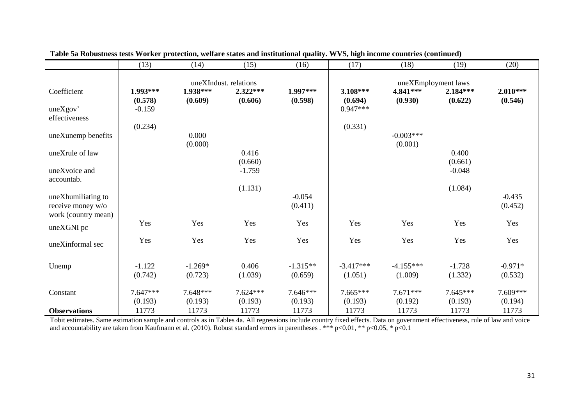|                     | (13)       | (14)       | (15)                  | (16)       | (17)        | (18)        | (19)                | (20)       |
|---------------------|------------|------------|-----------------------|------------|-------------|-------------|---------------------|------------|
|                     |            |            |                       |            |             |             |                     |            |
|                     |            |            | uneXIndust. relations |            |             |             | uneXEmployment laws |            |
| Coefficient         | 1.993***   | 1.938***   | $2.322***$            | 1.997***   | 3.108***    | 4.841***    | $2.184***$          | $2.010***$ |
|                     | (0.578)    | (0.609)    | (0.606)               | (0.598)    | (0.694)     | (0.930)     | (0.622)             | (0.546)    |
| uneXgov'            | $-0.159$   |            |                       |            | $0.947***$  |             |                     |            |
| effectiveness       |            |            |                       |            |             |             |                     |            |
|                     | (0.234)    |            |                       |            | (0.331)     |             |                     |            |
| uneXunemp benefits  |            | 0.000      |                       |            |             | $-0.003***$ |                     |            |
|                     |            | (0.000)    |                       |            |             | (0.001)     |                     |            |
| uneXrule of law     |            |            | 0.416                 |            |             |             | 0.400               |            |
|                     |            |            | (0.660)               |            |             |             | (0.661)             |            |
| uneXvoice and       |            |            | $-1.759$              |            |             |             | $-0.048$            |            |
| accountab.          |            |            |                       |            |             |             |                     |            |
|                     |            |            | (1.131)               |            |             |             | (1.084)             |            |
| uneXhumiliating to  |            |            |                       | $-0.054$   |             |             |                     | $-0.435$   |
| receive money w/o   |            |            |                       | (0.411)    |             |             |                     | (0.452)    |
| work (country mean) |            |            |                       |            |             |             |                     |            |
|                     | Yes        | Yes        | Yes                   | Yes        | Yes         | Yes         | Yes                 | Yes        |
| uneXGNI pc          |            |            |                       |            |             |             |                     |            |
|                     | Yes        | Yes        | Yes                   | Yes        | Yes         | Yes         | Yes                 | Yes        |
| uneXinformal sec    |            |            |                       |            |             |             |                     |            |
|                     |            |            |                       |            |             |             |                     |            |
| Unemp               | $-1.122$   | $-1.269*$  | 0.406                 | $-1.315**$ | $-3.417***$ | $-4.155***$ | $-1.728$            | $-0.971*$  |
|                     | (0.742)    | (0.723)    | (1.039)               | (0.659)    | (1.051)     | (1.009)     | (1.332)             | (0.532)    |
|                     |            |            |                       |            |             |             |                     |            |
| Constant            | $7.647***$ | $7.648***$ | $7.624***$            | $7.646***$ | $7.665***$  | $7.671***$  | $7.645***$          | 7.609***   |
|                     | (0.193)    | (0.193)    | (0.193)               | (0.193)    | (0.193)     | (0.192)     | (0.193)             | (0.194)    |
| <b>Observations</b> | 11773      | 11773      | 11773                 | 11773      | 11773       | 11773       | 11773               | 11773      |
|                     |            |            |                       |            |             |             |                     |            |

**Table 5a Robustness tests Worker protection, welfare states and institutional quality. WVS, high income countries (continued)** 

 Tobit estimates. Same estimation sample and controls as in Tables 4a. All regressions include country fixed effects. Data on government effectiveness, rule of law and voice and accountability are taken from Kaufmann et al. (2010). Robust standard errors in parentheses . \*\*\*  $p<0.01$ , \*\*  $p<0.05$ , \*  $p<0.1$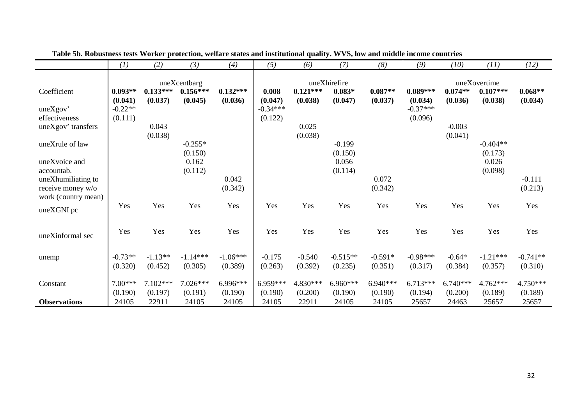|                     | (1)       | (2)        | (3)          | (4)        | (5)        | (6)        | (7)          | (8)        | (9)        | (10)       | (11)         | (12)       |
|---------------------|-----------|------------|--------------|------------|------------|------------|--------------|------------|------------|------------|--------------|------------|
|                     |           |            | uneXcentbarg |            |            |            | uneXhirefire |            |            |            | uneXovertime |            |
| Coefficient         | $0.093**$ | $0.133***$ | $0.156***$   | $0.132***$ | 0.008      | $0.121***$ | $0.083*$     | $0.087**$  | $0.089***$ | $0.074**$  | $0.107***$   | $0.068**$  |
|                     | (0.041)   | (0.037)    | (0.045)      | (0.036)    | (0.047)    | (0.038)    | (0.047)      | (0.037)    | (0.034)    | (0.036)    | (0.038)      | (0.034)    |
| uneXgov'            | $-0.22**$ |            |              |            | $-0.34***$ |            |              |            | $-0.37***$ |            |              |            |
| effectiveness       | (0.111)   |            |              |            | (0.122)    |            |              |            | (0.096)    |            |              |            |
| uneXgov' transfers  |           | 0.043      |              |            |            | 0.025      |              |            |            | $-0.003$   |              |            |
|                     |           | (0.038)    |              |            |            | (0.038)    |              |            |            | (0.041)    |              |            |
| uneXrule of law     |           |            | $-0.255*$    |            |            |            | $-0.199$     |            |            |            | $-0.404**$   |            |
|                     |           |            | (0.150)      |            |            |            | (0.150)      |            |            |            | (0.173)      |            |
| uneXvoice and       |           |            | 0.162        |            |            |            | 0.056        |            |            |            | 0.026        |            |
| accountab.          |           |            | (0.112)      |            |            |            | (0.114)      |            |            |            | (0.098)      |            |
| uneXhumiliating to  |           |            |              | 0.042      |            |            |              | 0.072      |            |            |              | $-0.111$   |
| receive money w/o   |           |            |              | (0.342)    |            |            |              | (0.342)    |            |            |              | (0.213)    |
| work (country mean) |           |            |              |            |            |            |              |            |            |            |              |            |
| uneXGNI pc          | Yes       | Yes        | Yes          | Yes        | Yes        | Yes        | Yes          | Yes        | Yes        | Yes        | Yes          | Yes        |
|                     |           |            |              |            |            |            |              |            |            |            |              |            |
|                     | Yes       | Yes        | Yes          | Yes        | Yes        | Yes        | Yes          | Yes        | Yes        | Yes        | Yes          | Yes        |
| uneXinformal sec    |           |            |              |            |            |            |              |            |            |            |              |            |
|                     |           |            |              |            |            |            |              |            |            |            |              |            |
| unemp               | $-0.73**$ | $-1.13**$  | $-1.14***$   | $-1.06***$ | $-0.175$   | $-0.540$   | $-0.515**$   | $-0.591*$  | $-0.98***$ | $-0.64*$   | $-1.21***$   | $-0.741**$ |
|                     | (0.320)   | (0.452)    | (0.305)      | (0.389)    | (0.263)    | (0.392)    | (0.235)      | (0.351)    | (0.317)    | (0.384)    | (0.357)      | (0.310)    |
|                     |           |            |              |            |            |            |              |            |            |            |              |            |
| Constant            | $7.00***$ | $7.102***$ | 7.026***     | $6.996***$ | 6.959***   | 4.830***   | $6.960***$   | $6.940***$ | $6.713***$ | $6.740***$ | $4.762***$   | 4.750***   |
|                     | (0.190)   | (0.197)    | (0.191)      | (0.190)    | (0.190)    | (0.200)    | (0.190)      | (0.190)    | (0.194)    | (0.200)    | (0.189)      | (0.189)    |
| <b>Observations</b> | 24105     | 22911      | 24105        | 24105      | 24105      | 22911      | 24105        | 24105      | 25657      | 24463      | 25657        | 25657      |

 **Table 5b. Robustness tests Worker protection, welfare states and institutional quality. WVS, low and middle income countries**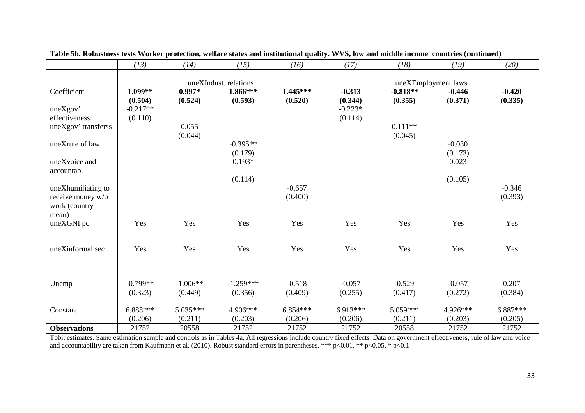|                             | (13)       | (14)       | (15)                              | (16)       | (17)       | (18)       | (19)                            | (20)     |
|-----------------------------|------------|------------|-----------------------------------|------------|------------|------------|---------------------------------|----------|
|                             |            |            |                                   |            |            |            |                                 |          |
| Coefficient                 | $1.099**$  | $0.997*$   | uneXIndust. relations<br>1.866*** | $1.445***$ | $-0.313$   | $-0.818**$ | uneXEmployment laws<br>$-0.446$ | $-0.420$ |
|                             | (0.504)    | (0.524)    | (0.593)                           | (0.520)    | (0.344)    | (0.355)    | (0.371)                         | (0.335)  |
| uneXgov'                    | $-0.217**$ |            |                                   |            | $-0.223*$  |            |                                 |          |
| effectiveness               | (0.110)    |            |                                   |            | (0.114)    |            |                                 |          |
| uneXgov' transferss         |            | 0.055      |                                   |            |            | $0.111**$  |                                 |          |
|                             |            | (0.044)    |                                   |            |            | (0.045)    |                                 |          |
| uneXrule of law             |            |            | $-0.395**$                        |            |            |            | $-0.030$                        |          |
|                             |            |            | (0.179)                           |            |            |            | (0.173)                         |          |
| uneXvoice and<br>accountab. |            |            | $0.193*$                          |            |            |            | 0.023                           |          |
|                             |            |            | (0.114)                           |            |            |            | (0.105)                         |          |
| uneXhumiliating to          |            |            |                                   | $-0.657$   |            |            |                                 | $-0.346$ |
| receive money w/o           |            |            |                                   | (0.400)    |            |            |                                 | (0.393)  |
| work (country               |            |            |                                   |            |            |            |                                 |          |
| mean)                       |            |            |                                   |            |            |            |                                 |          |
| uneXGNI pc                  | Yes        | Yes        | Yes                               | Yes        | Yes        | Yes        | Yes                             | Yes      |
|                             |            |            |                                   |            |            |            |                                 |          |
| uneXinformal sec            | Yes        | Yes        | Yes                               | Yes        | Yes        | Yes        | Yes                             | Yes      |
|                             |            |            |                                   |            |            |            |                                 |          |
|                             |            |            |                                   |            |            |            |                                 |          |
|                             |            |            |                                   |            |            |            |                                 |          |
| Unemp                       | $-0.799**$ | $-1.006**$ | $-1.259***$                       | $-0.518$   | $-0.057$   | $-0.529$   | $-0.057$                        | 0.207    |
|                             | (0.323)    | (0.449)    | (0.356)                           | (0.409)    | (0.255)    | (0.417)    | (0.272)                         | (0.384)  |
| Constant                    | $6.888***$ | 5.035***   | 4.906***                          | $6.854***$ | $6.913***$ | 5.059***   | 4.926***                        | 6.887*** |
|                             | (0.206)    | (0.211)    | (0.203)                           | (0.206)    | (0.206)    | (0.211)    | (0.203)                         | (0.205)  |
| <b>Observations</b>         | 21752      | 20558      | 21752                             | 21752      | 21752      | 20558      | 21752                           | 21752    |

**Table 5b. Robustness tests Worker protection, welfare states and institutional quality. WVS, low and middle income countries (continued)** 

Tobit estimates. Same estimation sample and controls as in Tables 4a. All regressions include country fixed effects. Data on government effectiveness, rule of law and voice<br>and accountability are taken from Kaufmann et al.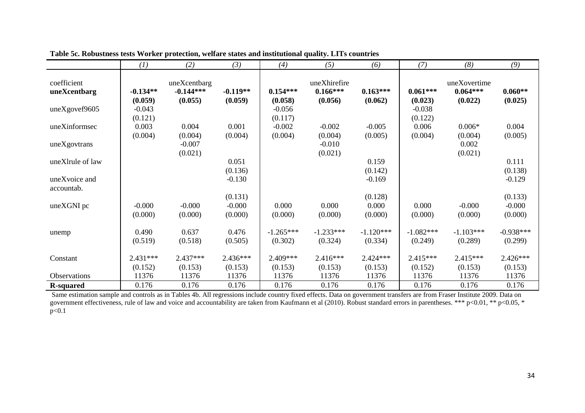|                             | (1)                   | (2)                                    | (3)                   | (4)                    | (5)                                   | (6)                    | (7)                    | (8)                                   | (9)                    |
|-----------------------------|-----------------------|----------------------------------------|-----------------------|------------------------|---------------------------------------|------------------------|------------------------|---------------------------------------|------------------------|
| coefficient<br>uneXcentbarg | $-0.134**$<br>(0.059) | uneXcentbarg<br>$-0.144***$<br>(0.055) | $-0.119**$<br>(0.059) | $0.154***$<br>(0.058)  | uneXhirefire<br>$0.166***$<br>(0.056) | $0.163***$<br>(0.062)  | $0.061***$<br>(0.023)  | uneXovertime<br>$0.064***$<br>(0.022) | $0.060**$<br>(0.025)   |
| uneXgovef9605               | $-0.043$<br>(0.121)   |                                        |                       | $-0.056$<br>(0.117)    |                                       |                        | $-0.038$<br>(0.122)    |                                       |                        |
| uneXinformsec               | 0.003<br>(0.004)      | 0.004<br>(0.004)                       | 0.001<br>(0.004)      | $-0.002$<br>(0.004)    | $-0.002$<br>(0.004)                   | $-0.005$<br>(0.005)    | 0.006<br>(0.004)       | $0.006*$<br>(0.004)                   | 0.004<br>(0.005)       |
| uneXgovtrans                |                       | $-0.007$<br>(0.021)                    |                       |                        | $-0.010$<br>(0.021)                   |                        |                        | 0.002<br>(0.021)                      |                        |
| uneXlrule of law            |                       |                                        | 0.051<br>(0.136)      |                        |                                       | 0.159<br>(0.142)       |                        |                                       | 0.111<br>(0.138)       |
| uneXvoice and<br>accountab. |                       |                                        | $-0.130$              |                        |                                       | $-0.169$               |                        |                                       | $-0.129$               |
| uneXGNI pc                  | $-0.000$              | $-0.000$                               | (0.131)<br>$-0.000$   | 0.000                  | 0.000                                 | (0.128)<br>0.000       | 0.000                  | $-0.000$                              | (0.133)<br>$-0.000$    |
|                             | (0.000)               | (0.000)                                | (0.000)               | (0.000)                | (0.000)                               | (0.000)                | (0.000)                | (0.000)                               | (0.000)                |
| unemp                       | 0.490<br>(0.519)      | 0.637<br>(0.518)                       | 0.476<br>(0.505)      | $-1.265***$<br>(0.302) | $-1.233***$<br>(0.324)                | $-1.120***$<br>(0.334) | $-1.082***$<br>(0.249) | $-1.103***$<br>(0.289)                | $-0.938***$<br>(0.299) |
| Constant                    | $2.431***$            | $2.437***$                             | $2.436***$            | 2.409***               | $2.416***$                            | $2.424***$             | $2.415***$             | $2.415***$                            | $2.426***$             |
| <b>Observations</b>         | (0.152)<br>11376      | (0.153)<br>11376                       | (0.153)<br>11376      | (0.153)<br>11376       | (0.153)<br>11376                      | (0.153)<br>11376       | (0.152)<br>11376       | (0.153)<br>11376                      | (0.153)<br>11376       |
| <b>R-squared</b>            | 0.176                 | 0.176                                  | 0.176                 | 0.176                  | 0.176                                 | 0.176                  | 0.176                  | 0.176                                 | 0.176                  |

**R-squared** 1.176 0.176 0.176 0.176 0.176 0.176 0.176 0.176 0.176 0.176 0.176 0.176 0.176 0.176 0.176 0.176 0.176 0.176 0.176 0.176 0.176 0.176 0.176 0.176 0.176 0.176 0.176 0.176 0.176 0.176 0.176 0.176 0.176 0.176 0.176 p<0.1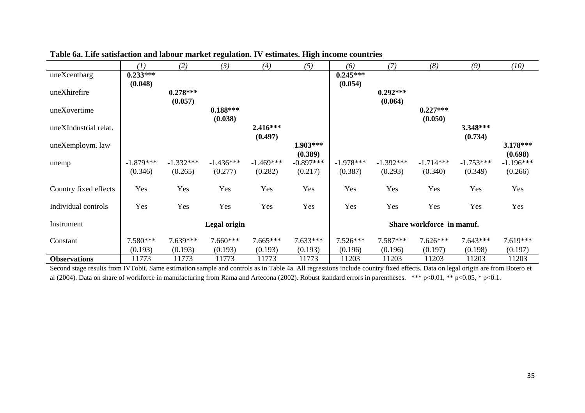|                       | (1)              | (2)              | (3)              | (4)              | (5)                       | (6)              | (7)              | (8)              | (9)              | (10)             |
|-----------------------|------------------|------------------|------------------|------------------|---------------------------|------------------|------------------|------------------|------------------|------------------|
| uneXcentbarg          | $0.233***$       |                  |                  |                  |                           | $0.245***$       |                  |                  |                  |                  |
|                       | (0.048)          |                  |                  |                  |                           | (0.054)          |                  |                  |                  |                  |
| uneXhirefire          |                  | $0.278***$       |                  |                  |                           |                  | $0.292***$       |                  |                  |                  |
|                       |                  | (0.057)          | $0.188***$       |                  |                           |                  | (0.064)          | $0.227***$       |                  |                  |
| uneXovertime          |                  |                  | (0.038)          |                  |                           |                  |                  | (0.050)          |                  |                  |
| uneXIndustrial relat. |                  |                  |                  | $2.416***$       |                           |                  |                  |                  | 3.348***         |                  |
|                       |                  |                  |                  | (0.497)          |                           |                  |                  |                  | (0.734)          |                  |
| uneXemploym. law      |                  |                  |                  |                  | 1.903***                  |                  |                  |                  |                  | $3.178***$       |
|                       |                  |                  |                  |                  | (0.389)                   |                  |                  |                  |                  | (0.698)          |
| unemp                 | $-1.879***$      | $-1.332***$      | $-1.436***$      | $-1.469***$      | $-0.897***$               | $-1.978***$      | $-1.392***$      | $-1.714***$      | $-1.753***$      | $-1.196***$      |
|                       | (0.346)          | (0.265)          | (0.277)          | (0.282)          | (0.217)                   | (0.387)          | (0.293)          | (0.340)          | (0.349)          | (0.266)          |
| Country fixed effects | Yes              | Yes              | Yes              | Yes              | Yes                       | Yes              | Yes              | Yes              | Yes              | Yes              |
|                       |                  |                  |                  |                  |                           |                  |                  |                  |                  |                  |
| Individual controls   | Yes              | Yes              | Yes              | Yes              | Yes                       | Yes              | Yes              | Yes              | Yes              | Yes              |
|                       |                  |                  |                  |                  |                           |                  |                  |                  |                  |                  |
| Instrument            | Legal origin     |                  |                  |                  | Share workforce in manuf. |                  |                  |                  |                  |                  |
|                       |                  |                  |                  |                  |                           |                  |                  |                  |                  |                  |
| Constant              | $7.580***$       | 7.639***         | $7.660***$       | $7.665***$       | $7.633***$                | $7.526***$       | 7.587***         | $7.626***$       | $7.643***$       | 7.619***         |
| <b>Observations</b>   | (0.193)<br>11773 | (0.193)<br>11773 | (0.193)<br>11773 | (0.193)<br>11773 | (0.193)<br>11773          | (0.196)<br>11203 | (0.196)<br>11203 | (0.197)<br>11203 | (0.198)<br>11203 | (0.197)<br>11203 |
|                       |                  |                  |                  |                  |                           |                  |                  |                  |                  |                  |

# **Table 6a. Life satisfaction and labour market regulation. IV estimates. High income countries**

 Second stage results from IVTobit. Same estimation sample and controls as in Table 4a. All regressions include country fixed effects. Data on legal origin are from Botero et al (2004). Data on share of workforce in manufacturing from Rama and Artecona (2002). Robust standard errors in parentheses. \*\*\* p<0.01, \*\* p<0.05, \* p<0.1.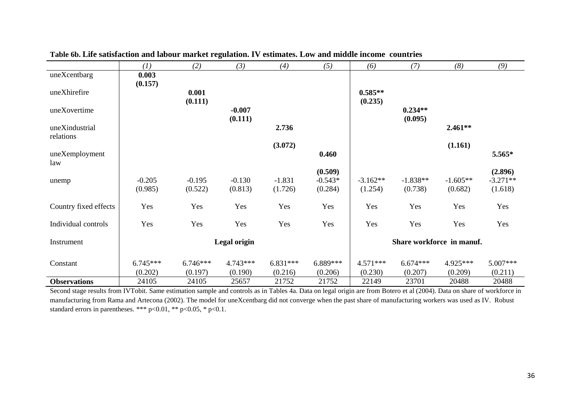|                       | (1)        | (2)                       | (3)        | (4)        | (5)       | (6)        | (7)        | (8)        | (9)        |
|-----------------------|------------|---------------------------|------------|------------|-----------|------------|------------|------------|------------|
| uneXcentbarg          | 0.003      |                           |            |            |           |            |            |            |            |
|                       | (0.157)    |                           |            |            |           |            |            |            |            |
| uneXhirefire          |            | 0.001                     |            |            |           | $0.585**$  |            |            |            |
|                       |            | (0.111)                   |            |            |           | (0.235)    |            |            |            |
| uneXovertime          |            |                           | $-0.007$   |            |           |            | $0.234**$  |            |            |
|                       |            |                           | (0.111)    |            |           |            | (0.095)    |            |            |
| uneXindustrial        |            |                           |            | 2.736      |           |            |            | $2.461**$  |            |
| relations             |            |                           |            |            |           |            |            |            |            |
|                       |            |                           |            | (3.072)    |           |            |            | (1.161)    |            |
| uneXemployment<br>law |            |                           |            |            | 0.460     |            |            |            | 5.565*     |
|                       |            |                           |            |            | (0.509)   |            |            |            | (2.896)    |
|                       | $-0.205$   | $-0.195$                  | $-0.130$   | $-1.831$   | $-0.543*$ | $-3.162**$ | $-1.838**$ | $-1.605**$ | $-3.271**$ |
| unemp                 | (0.985)    | (0.522)                   | (0.813)    | (1.726)    | (0.284)   | (1.254)    | (0.738)    | (0.682)    | (1.618)    |
|                       |            |                           |            |            |           |            |            |            |            |
| Country fixed effects | Yes        | Yes                       | Yes        | Yes        | Yes       | Yes        | Yes        | Yes        | Yes        |
|                       |            |                           |            |            |           |            |            |            |            |
| Individual controls   | Yes        | Yes                       | Yes        | Yes        | Yes       | Yes        | Yes        | Yes        | Yes        |
|                       |            |                           |            |            |           |            |            |            |            |
| Instrument            |            | Share workforce in manuf. |            |            |           |            |            |            |            |
|                       |            |                           |            |            |           |            |            |            |            |
| Constant              | $6.745***$ | $6.746***$                | $4.743***$ | $6.831***$ | 6.889***  | $4.571***$ | $6.674***$ | 4.925***   | $5.007***$ |
|                       | (0.202)    | (0.197)                   | (0.190)    | (0.216)    | (0.206)   | (0.230)    | (0.207)    | (0.209)    | (0.211)    |
| <b>Observations</b>   | 24105      | 24105                     | 25657      | 21752      | 21752     | 22149      | 23701      | 20488      | 20488      |

# **Table 6b. Life satisfaction and labour market regulation. IV estimates. Low and middle income countries**

 Second stage results from IVTobit. Same estimation sample and controls as in Tables 4a. Data on legal origin are from Botero et al (2004). Data on share of workforce in manufacturing from Rama and Artecona (2002). The model for uneXcentbarg did not converge when the past share of manufacturing workers was used as IV. Robust standard errors in parentheses. \*\*\* p<0.01, \*\* p<0.05, \* p<0.1.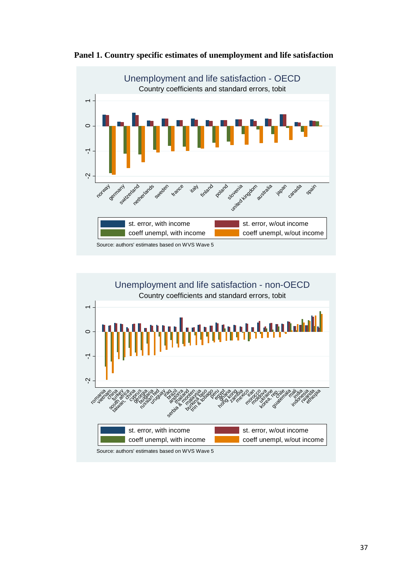



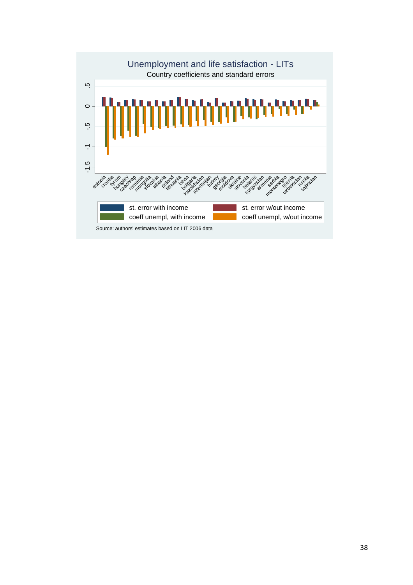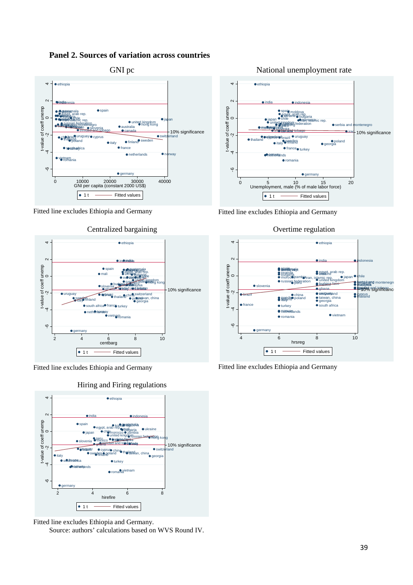# **Panel 2. Sources of variation across countries**



Fitted line excludes Ethiopia and Germany



#### Centralized bargaining

Fitted line excludes Ethiopia and Germany





Fitted line excludes Ethiopia and Germany.

Source: authors' calculations based on WVS Round IV.



Fitted line excludes Ethiopia and Germany

 $\overline{4}$ 



Overtime regulation



Fitted line excludes Ethiopia and Germany